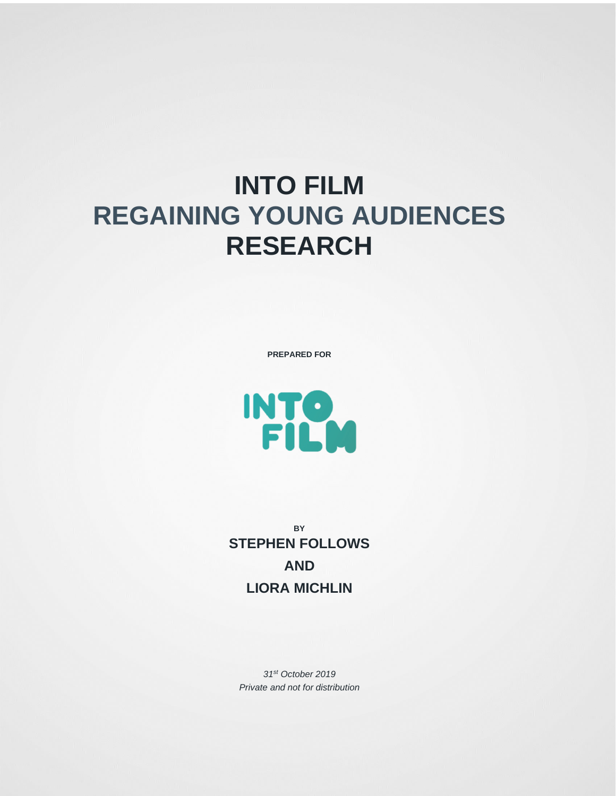## **INTO FILM REGAINING YOUNG AUDIENCES RESEARCH**

**PREPARED FOR**



**BY STEPHEN FOLLOWS AND LIORA MICHLIN**

*31st October 2019 Private and not for distribution*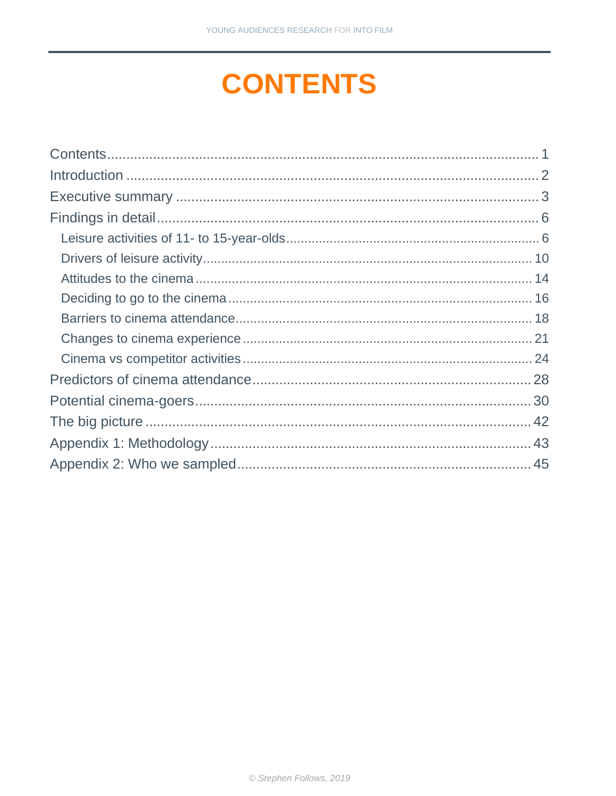# <span id="page-1-0"></span>**CONTENTS**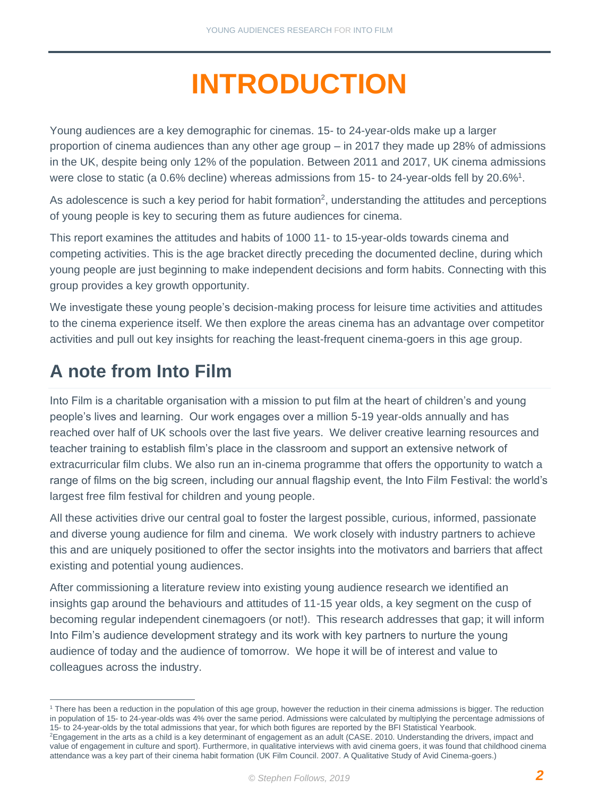# **INTRODUCTION**

<span id="page-2-0"></span>Young audiences are a key demographic for cinemas. 15- to 24-year-olds make up a larger proportion of cinema audiences than any other age group – in 2017 they made up 28% of admissions in the UK, despite being only 12% of the population. Between 2011 and 2017, UK cinema admissions were close to static (a 0.6% decline) whereas admissions from 15- to 24-year-olds fell by 20.6%<sup>1</sup>.

As adolescence is such a key period for habit formation<sup>2</sup>, understanding the attitudes and perceptions of young people is key to securing them as future audiences for cinema.

This report examines the attitudes and habits of 1000 11- to 15-year-olds towards cinema and competing activities. This is the age bracket directly preceding the documented decline, during which young people are just beginning to make independent decisions and form habits. Connecting with this group provides a key growth opportunity.

We investigate these young people's decision-making process for leisure time activities and attitudes to the cinema experience itself. We then explore the areas cinema has an advantage over competitor activities and pull out key insights for reaching the least-frequent cinema-goers in this age group.

## **A note from Into Film**

Into Film is a charitable organisation with a mission to put film at the heart of children's and young people's lives and learning. Our work engages over a million 5-19 year-olds annually and has reached over half of UK schools over the last five years. We deliver creative learning resources and teacher training to establish film's place in the classroom and support an extensive network of extracurricular film clubs. We also run an in-cinema programme that offers the opportunity to watch a range of films on the big screen, including our annual flagship event, the Into Film Festival: the world's largest free film festival for children and young people.

All these activities drive our central goal to foster the largest possible, curious, informed, passionate and diverse young audience for film and cinema. We work closely with industry partners to achieve this and are uniquely positioned to offer the sector insights into the motivators and barriers that affect existing and potential young audiences.

After commissioning a literature review into existing young audience research we identified an insights gap around the behaviours and attitudes of 11-15 year olds, a key segment on the cusp of becoming regular independent cinemagoers (or not!). This research addresses that gap; it will inform Into Film's audience development strategy and its work with key partners to nurture the young audience of today and the audience of tomorrow. We hope it will be of interest and value to colleagues across the industry.

<sup>&</sup>lt;sup>1</sup> There has been a reduction in the population of this age group, however the reduction in their cinema admissions is bigger. The reduction in population of 15- to 24-year-olds was 4% over the same period. Admissions were calculated by multiplying the percentage admissions of 15- to 24-year-olds by the total admissions that year, for which both figures are reported by the BFI Statistical Yearbook.

<sup>&</sup>lt;sup>2</sup>Engagement in the arts as a child is a key determinant of engagement as an adult (CASE. 2010. Understanding the drivers, impact and value of engagement in culture and sport). Furthermore, in qualitative interviews with avid cinema goers, it was found that childhood cinema attendance was a key part of their cinema habit formation (UK Film Council. 2007. A Qualitative Study of Avid Cinema-goers.)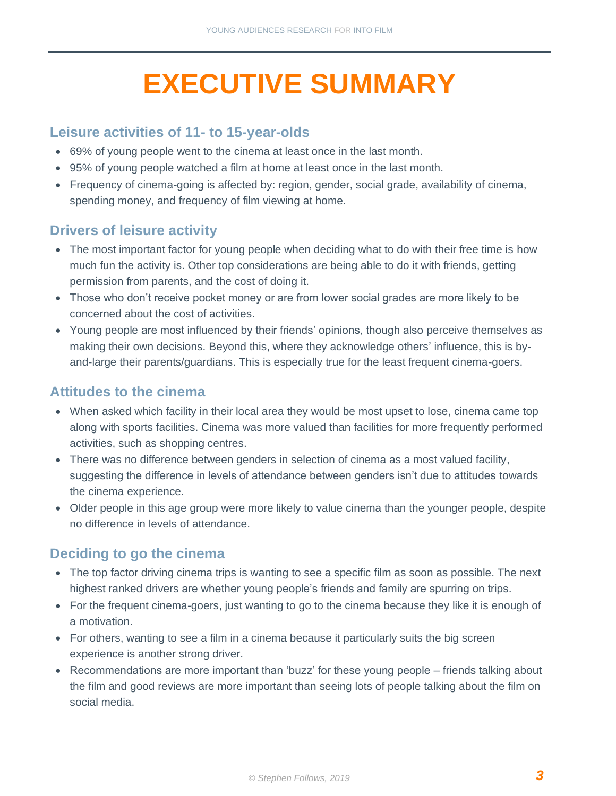# **EXECUTIVE SUMMARY**

#### <span id="page-3-0"></span>**Leisure activities of 11- to 15-year-olds**

- 69% of young people went to the cinema at least once in the last month.
- 95% of young people watched a film at home at least once in the last month.
- Frequency of cinema-going is affected by: region, gender, social grade, availability of cinema, spending money, and frequency of film viewing at home.

#### **Drivers of leisure activity**

- The most important factor for young people when deciding what to do with their free time is how much fun the activity is. Other top considerations are being able to do it with friends, getting permission from parents, and the cost of doing it.
- Those who don't receive pocket money or are from lower social grades are more likely to be concerned about the cost of activities.
- Young people are most influenced by their friends' opinions, though also perceive themselves as making their own decisions. Beyond this, where they acknowledge others' influence, this is byand-large their parents/guardians. This is especially true for the least frequent cinema-goers.

#### **Attitudes to the cinema**

- When asked which facility in their local area they would be most upset to lose, cinema came top along with sports facilities. Cinema was more valued than facilities for more frequently performed activities, such as shopping centres.
- There was no difference between genders in selection of cinema as a most valued facility, suggesting the difference in levels of attendance between genders isn't due to attitudes towards the cinema experience.
- Older people in this age group were more likely to value cinema than the younger people, despite no difference in levels of attendance.

#### **Deciding to go the cinema**

- The top factor driving cinema trips is wanting to see a specific film as soon as possible. The next highest ranked drivers are whether young people's friends and family are spurring on trips.
- For the frequent cinema-goers, just wanting to go to the cinema because they like it is enough of a motivation.
- For others, wanting to see a film in a cinema because it particularly suits the big screen experience is another strong driver.
- Recommendations are more important than 'buzz' for these young people friends talking about the film and good reviews are more important than seeing lots of people talking about the film on social media.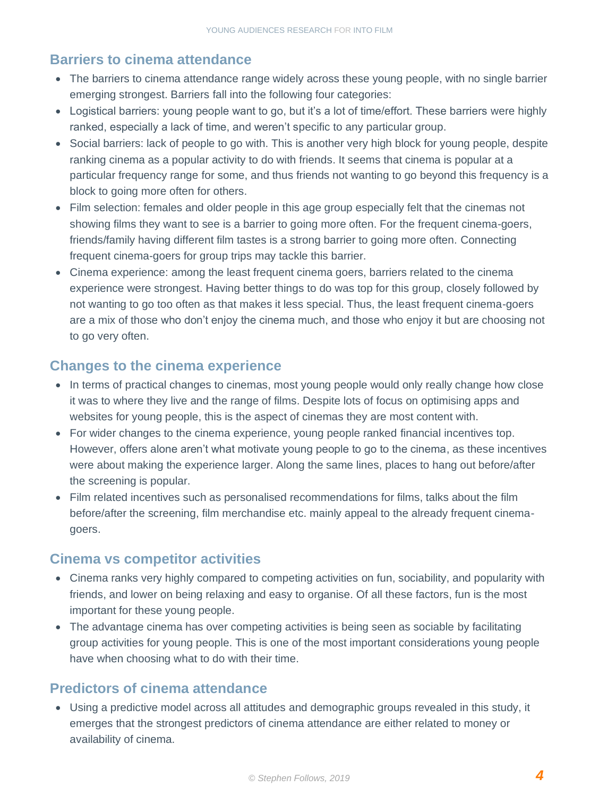#### **Barriers to cinema attendance**

- The barriers to cinema attendance range widely across these young people, with no single barrier emerging strongest. Barriers fall into the following four categories:
- Logistical barriers: young people want to go, but it's a lot of time/effort. These barriers were highly ranked, especially a lack of time, and weren't specific to any particular group.
- Social barriers: lack of people to go with. This is another very high block for young people, despite ranking cinema as a popular activity to do with friends. It seems that cinema is popular at a particular frequency range for some, and thus friends not wanting to go beyond this frequency is a block to going more often for others.
- Film selection: females and older people in this age group especially felt that the cinemas not showing films they want to see is a barrier to going more often. For the frequent cinema-goers, friends/family having different film tastes is a strong barrier to going more often. Connecting frequent cinema-goers for group trips may tackle this barrier.
- Cinema experience: among the least frequent cinema goers, barriers related to the cinema experience were strongest. Having better things to do was top for this group, closely followed by not wanting to go too often as that makes it less special. Thus, the least frequent cinema-goers are a mix of those who don't enjoy the cinema much, and those who enjoy it but are choosing not to go very often.

#### **Changes to the cinema experience**

- In terms of practical changes to cinemas, most young people would only really change how close it was to where they live and the range of films. Despite lots of focus on optimising apps and websites for young people, this is the aspect of cinemas they are most content with.
- For wider changes to the cinema experience, young people ranked financial incentives top. However, offers alone aren't what motivate young people to go to the cinema, as these incentives were about making the experience larger. Along the same lines, places to hang out before/after the screening is popular.
- Film related incentives such as personalised recommendations for films, talks about the film before/after the screening, film merchandise etc. mainly appeal to the already frequent cinemagoers.

#### **Cinema vs competitor activities**

- Cinema ranks very highly compared to competing activities on fun, sociability, and popularity with friends, and lower on being relaxing and easy to organise. Of all these factors, fun is the most important for these young people.
- The advantage cinema has over competing activities is being seen as sociable by facilitating group activities for young people. This is one of the most important considerations young people have when choosing what to do with their time.

#### **Predictors of cinema attendance**

• Using a predictive model across all attitudes and demographic groups revealed in this study, it emerges that the strongest predictors of cinema attendance are either related to money or availability of cinema.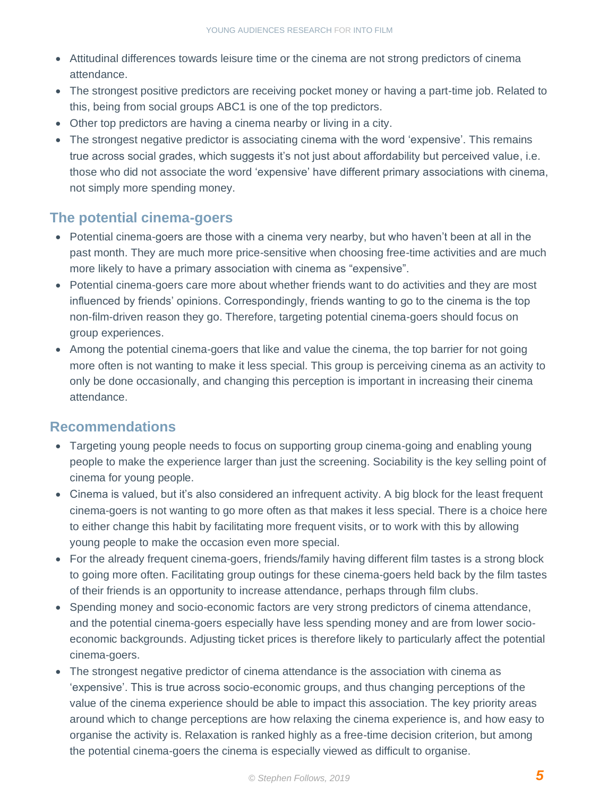- Attitudinal differences towards leisure time or the cinema are not strong predictors of cinema attendance.
- The strongest positive predictors are receiving pocket money or having a part-time job. Related to this, being from social groups ABC1 is one of the top predictors.
- Other top predictors are having a cinema nearby or living in a city.
- The strongest negative predictor is associating cinema with the word 'expensive'. This remains true across social grades, which suggests it's not just about affordability but perceived value, i.e. those who did not associate the word 'expensive' have different primary associations with cinema, not simply more spending money.

#### **The potential cinema-goers**

- Potential cinema-goers are those with a cinema very nearby, but who haven't been at all in the past month. They are much more price-sensitive when choosing free-time activities and are much more likely to have a primary association with cinema as "expensive".
- Potential cinema-goers care more about whether friends want to do activities and they are most influenced by friends' opinions. Correspondingly, friends wanting to go to the cinema is the top non-film-driven reason they go. Therefore, targeting potential cinema-goers should focus on group experiences.
- Among the potential cinema-goers that like and value the cinema, the top barrier for not going more often is not wanting to make it less special. This group is perceiving cinema as an activity to only be done occasionally, and changing this perception is important in increasing their cinema attendance.

### **Recommendations**

- Targeting young people needs to focus on supporting group cinema-going and enabling young people to make the experience larger than just the screening. Sociability is the key selling point of cinema for young people.
- Cinema is valued, but it's also considered an infrequent activity. A big block for the least frequent cinema-goers is not wanting to go more often as that makes it less special. There is a choice here to either change this habit by facilitating more frequent visits, or to work with this by allowing young people to make the occasion even more special.
- For the already frequent cinema-goers, friends/family having different film tastes is a strong block to going more often. Facilitating group outings for these cinema-goers held back by the film tastes of their friends is an opportunity to increase attendance, perhaps through film clubs.
- Spending money and socio-economic factors are very strong predictors of cinema attendance, and the potential cinema-goers especially have less spending money and are from lower socioeconomic backgrounds. Adjusting ticket prices is therefore likely to particularly affect the potential cinema-goers.
- The strongest negative predictor of cinema attendance is the association with cinema as 'expensive'. This is true across socio-economic groups, and thus changing perceptions of the value of the cinema experience should be able to impact this association. The key priority areas around which to change perceptions are how relaxing the cinema experience is, and how easy to organise the activity is. Relaxation is ranked highly as a free-time decision criterion, but among the potential cinema-goers the cinema is especially viewed as difficult to organise.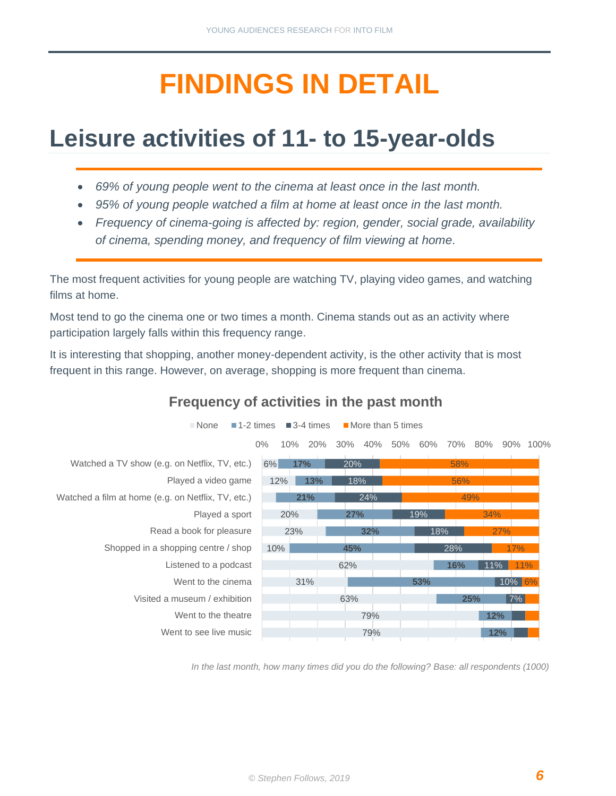# **FINDINGS IN DETAIL**

## <span id="page-6-1"></span><span id="page-6-0"></span>**Leisure activities of 11- to 15-year-olds**

- *69% of young people went to the cinema at least once in the last month.*
- *95% of young people watched a film at home at least once in the last month.*
- *Frequency of cinema-going is affected by: region, gender, social grade, availability of cinema, spending money, and frequency of film viewing at home.*

The most frequent activities for young people are watching TV, playing video games, and watching films at home.

Most tend to go the cinema one or two times a month. Cinema stands out as an activity where participation largely falls within this frequency range.

It is interesting that shopping, another money-dependent activity, is the other activity that is most frequent in this range. However, on average, shopping is more frequent than cinema.



#### **Frequency of activities in the past month**

*In the last month, how many times did you do the following? Base: all respondents (1000)*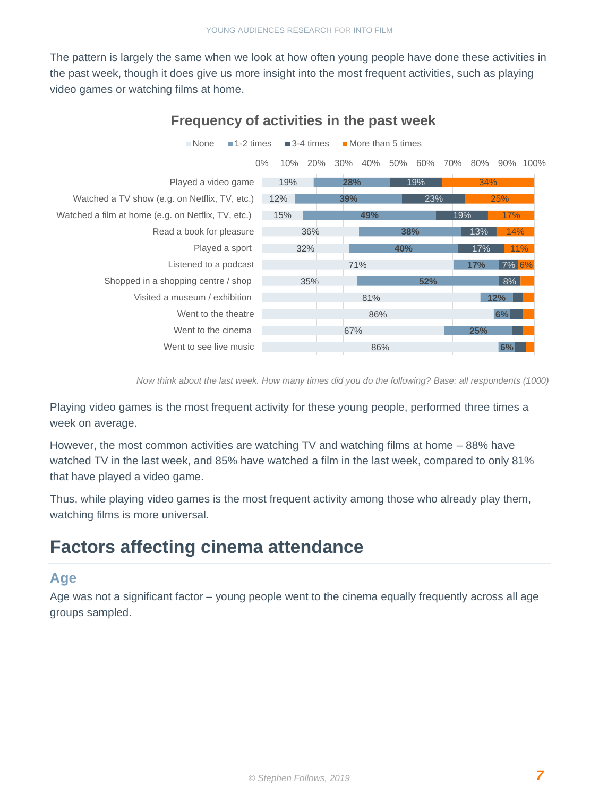The pattern is largely the same when we look at how often young people have done these activities in the past week, though it does give us more insight into the most frequent activities, such as playing video games or watching films at home.



#### **Frequency of activities in the past week**

*Now think about the last week. How many times did you do the following? Base: all respondents (1000)*

Playing video games is the most frequent activity for these young people, performed three times a week on average.

However, the most common activities are watching TV and watching films at home – 88% have watched TV in the last week, and 85% have watched a film in the last week, compared to only 81% that have played a video game.

Thus, while playing video games is the most frequent activity among those who already play them, watching films is more universal.

### **Factors affecting cinema attendance**

#### **Age**

Age was not a significant factor – young people went to the cinema equally frequently across all age groups sampled.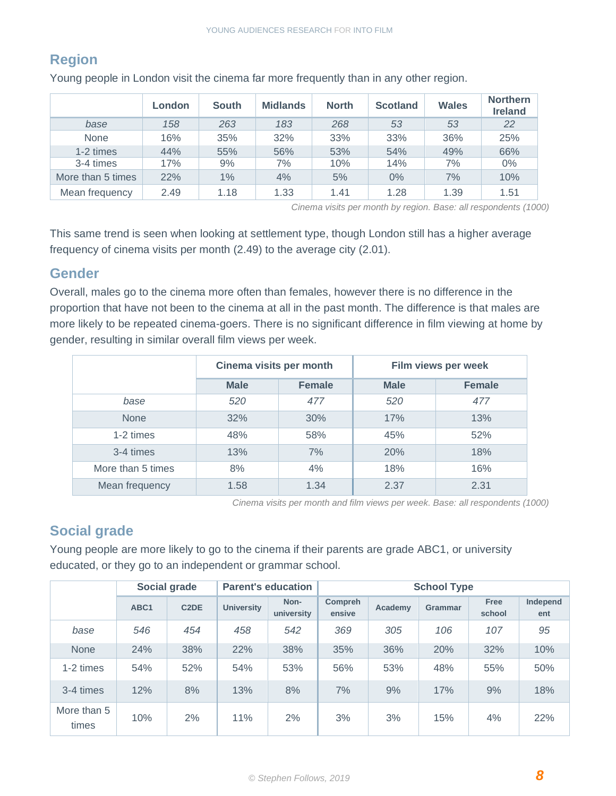### **Region**

|                   | London | <b>South</b> | <b>Midlands</b> | <b>North</b> | <b>Scotland</b> | <b>Wales</b> | <b>Northern</b><br><b>Ireland</b> |
|-------------------|--------|--------------|-----------------|--------------|-----------------|--------------|-----------------------------------|
| base              | 158    | 263          | 183             | 268          | 53              | 53           | 22                                |
| <b>None</b>       | 16%    | 35%          | 32%             | 33%          | 33%             | 36%          | 25%                               |
| 1-2 times         | 44%    | 55%          | 56%             | 53%          | 54%             | 49%          | 66%                               |
| 3-4 times         | 17%    | 9%           | 7%              | 10%          | 14%             | 7%           | $0\%$                             |
| More than 5 times | 22%    | 1%           | 4%              | 5%           | $0\%$           | 7%           | 10%                               |
| Mean frequency    | 2.49   | 1.18         | 1.33            | 1.41         | 1.28            | 1.39         | 1.51                              |

Young people in London visit the cinema far more frequently than in any other region.

*Cinema visits per month by region. Base: all respondents (1000)*

This same trend is seen when looking at settlement type, though London still has a higher average frequency of cinema visits per month (2.49) to the average city (2.01).

#### **Gender**

Overall, males go to the cinema more often than females, however there is no difference in the proportion that have not been to the cinema at all in the past month. The difference is that males are more likely to be repeated cinema-goers. There is no significant difference in film viewing at home by gender, resulting in similar overall film views per week.

|                   | Cinema visits per month |               | Film views per week |               |  |
|-------------------|-------------------------|---------------|---------------------|---------------|--|
|                   | <b>Male</b>             | <b>Female</b> | <b>Male</b>         | <b>Female</b> |  |
| base              | 520                     | 477           | 520                 | 477           |  |
| <b>None</b>       | 32%                     | 30%           | 17%                 | 13%           |  |
| 1-2 times         | 48%                     | 58%           | 45%                 | 52%           |  |
| 3-4 times         | 13%                     | 7%            | 20%                 | 18%           |  |
| More than 5 times | 8%                      | 4%            | 18%                 | 16%           |  |
| Mean frequency    | 1.58                    | 1.34          | 2.37                | 2.31          |  |

*Cinema visits per month and film views per week. Base: all respondents (1000)*

#### **Social grade**

Young people are more likely to go to the cinema if their parents are grade ABC1, or university educated, or they go to an independent or grammar school.

|                      |                  | Social grade      |                   | <b>Parent's education</b> | <b>School Type</b> |         |                |                       |                 |
|----------------------|------------------|-------------------|-------------------|---------------------------|--------------------|---------|----------------|-----------------------|-----------------|
|                      | ABC <sub>1</sub> | C <sub>2</sub> DE | <b>University</b> | Non-<br>university        | Compreh<br>ensive  | Academy | <b>Grammar</b> | <b>Free</b><br>school | Independ<br>ent |
| base                 | 546              | 454               | 458               | 542                       | 369                | 305     | 106            | 107                   | 95              |
| <b>None</b>          | 24%              | 38%               | 22%               | 38%                       | 35%                | 36%     | 20%            | 32%                   | 10%             |
| 1-2 times            | 54%              | 52%               | 54%               | 53%                       | 56%                | 53%     | 48%            | 55%                   | 50%             |
| 3-4 times            | 12%              | 8%                | 13%               | 8%                        | 7%                 | 9%      | 17%            | 9%                    | 18%             |
| More than 5<br>times | 10%              | 2%                | 11%               | 2%                        | 3%                 | 3%      | 15%            | 4%                    | 22%             |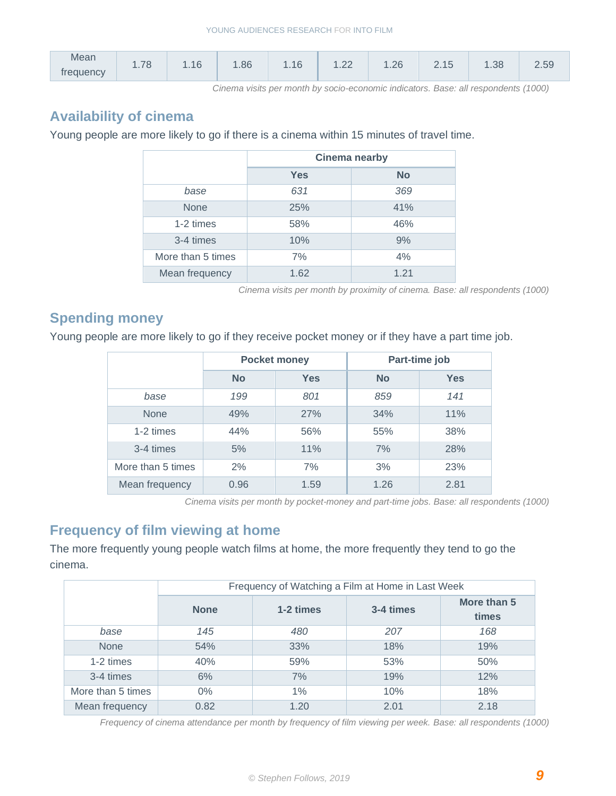| <b>Mean</b> | $\overline{\phantom{a}}$ | .16 | .86 | AC          | $\cap$                      | 26   |                 | .38 |     |
|-------------|--------------------------|-----|-----|-------------|-----------------------------|------|-----------------|-----|-----|
| frequency   | U<br>and a final         |     |     | $\cdots$ 10 | $\cdot$ . $\angle$ $\angle$ | $-2$ | $\sim$ . $\sim$ |     | ے ت |

*Cinema visits per month by socio-economic indicators. Base: all respondents (1000)*

#### **Availability of cinema**

Young people are more likely to go if there is a cinema within 15 minutes of travel time.

|                   | <b>Cinema nearby</b> |           |  |  |  |
|-------------------|----------------------|-----------|--|--|--|
|                   | <b>Yes</b>           | <b>No</b> |  |  |  |
| base              | 631                  | 369       |  |  |  |
| <b>None</b>       | 25%                  | 41%       |  |  |  |
| 1-2 times         | 58%                  | 46%       |  |  |  |
| 3-4 times         | 10%                  | 9%        |  |  |  |
| More than 5 times | 7%                   | 4%        |  |  |  |
| Mean frequency    | 1.62                 | 1.21      |  |  |  |

*Cinema visits per month by proximity of cinema. Base: all respondents (1000)*

#### **Spending money**

Young people are more likely to go if they receive pocket money or if they have a part time job.

|                   |           | <b>Pocket money</b> |           | Part-time job |
|-------------------|-----------|---------------------|-----------|---------------|
|                   | <b>No</b> | <b>Yes</b>          | <b>No</b> | <b>Yes</b>    |
| base              | 199       | 801                 | 859       | 141           |
| <b>None</b>       | 49%       | 27%                 | 34%       | 11%           |
| 1-2 times         | 44%       | 56%                 | 55%       | 38%           |
| 3-4 times         | 5%        | 11%                 | 7%        | 28%           |
| More than 5 times | 2%        | 7%                  | 3%        | 23%           |
| Mean frequency    | 0.96      | 1.59                | 1.26      | 2.81          |

*Cinema visits per month by pocket-money and part-time jobs. Base: all respondents (1000)*

#### **Frequency of film viewing at home**

The more frequently young people watch films at home, the more frequently they tend to go the cinema.

|                   | Frequency of Watching a Film at Home in Last Week |           |           |                      |  |  |  |  |  |
|-------------------|---------------------------------------------------|-----------|-----------|----------------------|--|--|--|--|--|
|                   | <b>None</b>                                       | 1-2 times | 3-4 times | More than 5<br>times |  |  |  |  |  |
| base              | 145                                               | 480       | 207       | 168                  |  |  |  |  |  |
| <b>None</b>       | 54%                                               | 33%       | 18%       | 19%                  |  |  |  |  |  |
| 1-2 times         | 40%                                               | 59%       | 53%       | 50%                  |  |  |  |  |  |
| 3-4 times         | 6%                                                | 7%        | 19%       | 12%                  |  |  |  |  |  |
| More than 5 times | $0\%$                                             | $1\%$     | 10%       | 18%                  |  |  |  |  |  |
| Mean frequency    | 0.82                                              | 1.20      | 2.01      | 2.18                 |  |  |  |  |  |

*Frequency of cinema attendance per month by frequency of film viewing per week. Base: all respondents (1000)*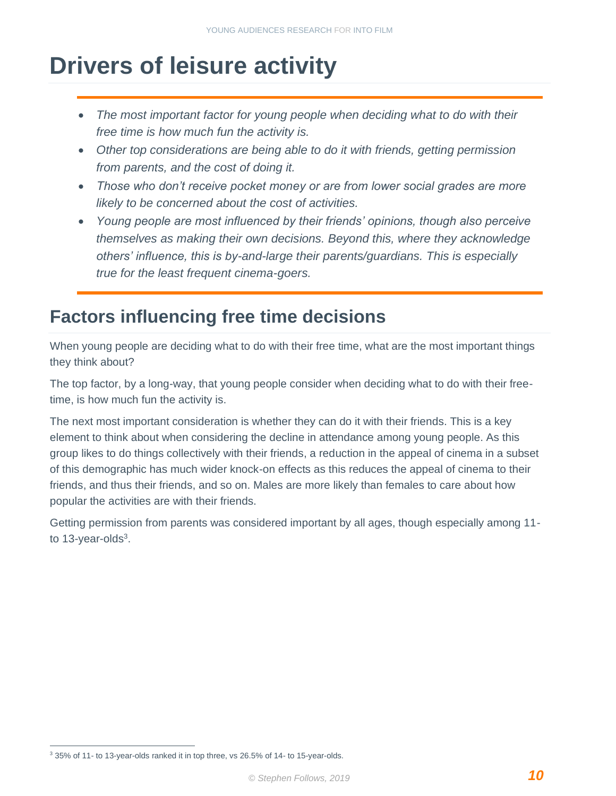## <span id="page-10-0"></span>**Drivers of leisure activity**

- The most important factor for young people when deciding what to do with their *free time is how much fun the activity is.*
- *Other top considerations are being able to do it with friends, getting permission from parents, and the cost of doing it.*
- *Those who don't receive pocket money or are from lower social grades are more likely to be concerned about the cost of activities.*
- *Young people are most influenced by their friends' opinions, though also perceive themselves as making their own decisions. Beyond this, where they acknowledge others' influence, this is by-and-large their parents/guardians. This is especially true for the least frequent cinema-goers.*

### **Factors influencing free time decisions**

When young people are deciding what to do with their free time, what are the most important things they think about?

The top factor, by a long-way, that young people consider when deciding what to do with their freetime, is how much fun the activity is.

The next most important consideration is whether they can do it with their friends. This is a key element to think about when considering the decline in attendance among young people. As this group likes to do things collectively with their friends, a reduction in the appeal of cinema in a subset of this demographic has much wider knock-on effects as this reduces the appeal of cinema to their friends, and thus their friends, and so on. Males are more likely than females to care about how popular the activities are with their friends.

Getting permission from parents was considered important by all ages, though especially among 11 to 13-year-olds $3$ .

<sup>3</sup> 35% of 11- to 13-year-olds ranked it in top three, vs 26.5% of 14- to 15-year-olds.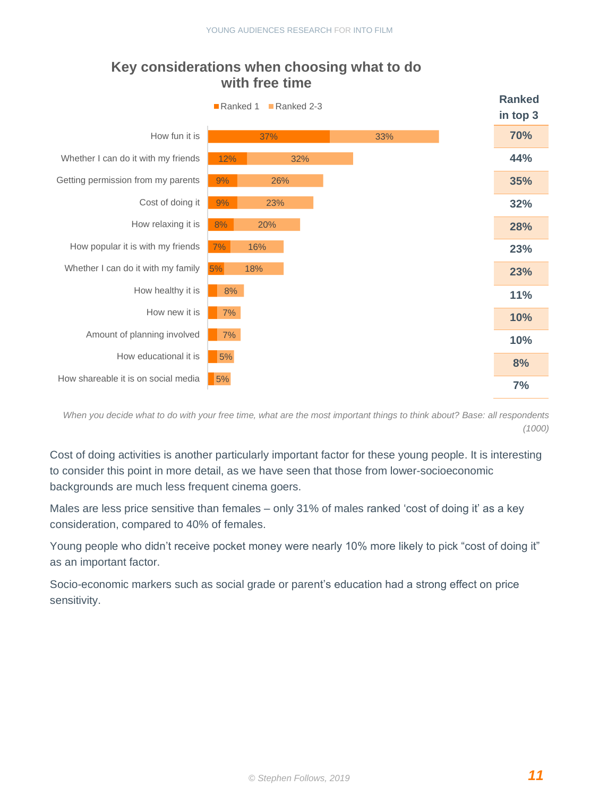#### 5% 7% 8%  $9%$  $9\%$ 12% 37% 5% 5%  $\vert$  7% 7% 8% 18% 16% 20% 23% 26% 32% 33% How shareable it is on social media How educational it is Amount of planning involved How new it is How healthy it is Whether I can do it with my family How popular it is with my friends How relaxing it is Cost of doing it Getting permission from my parents Whether I can do it with my friends How fun it is ■Ranked 1 ■Ranked 2-3 **Ranked Ranked in top 3 70% 44% 35% 32% 28% 23% 23% 11% 10% 10% 8% 7%**

#### **Key considerations when choosing what to do with free time**

*When you decide what to do with your free time, what are the most important things to think about? Base: all respondents (1000)*

Cost of doing activities is another particularly important factor for these young people. It is interesting to consider this point in more detail, as we have seen that those from lower-socioeconomic backgrounds are much less frequent cinema goers.

Males are less price sensitive than females – only 31% of males ranked 'cost of doing it' as a key consideration, compared to 40% of females.

Young people who didn't receive pocket money were nearly 10% more likely to pick "cost of doing it" as an important factor.

Socio-economic markers such as social grade or parent's education had a strong effect on price sensitivity.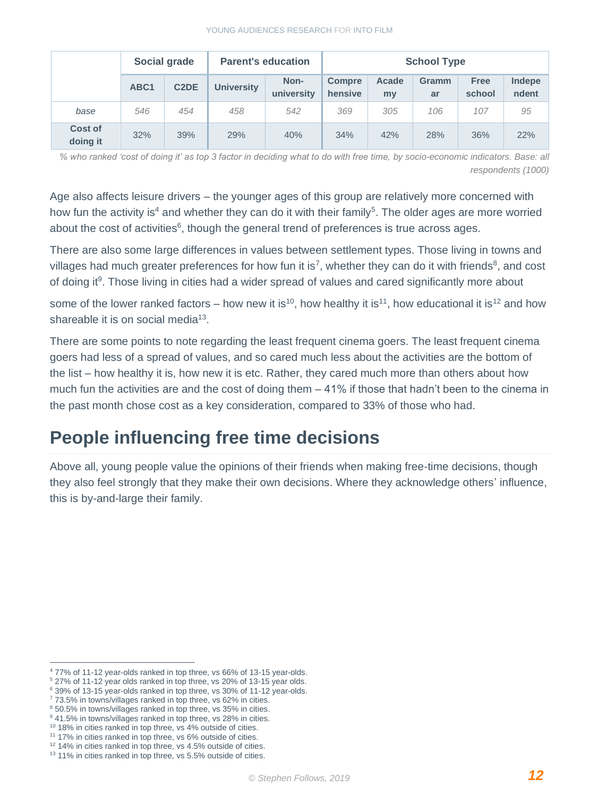#### YOUNG AUDIENCES RESEARCH FOR INTO FILM

|                            | Social grade     |                   | <b>Parent's education</b> |                    | <b>School Type</b>       |             |                    |                       |                 |
|----------------------------|------------------|-------------------|---------------------------|--------------------|--------------------------|-------------|--------------------|-----------------------|-----------------|
|                            | ABC <sub>1</sub> | C <sub>2</sub> DE | <b>University</b>         | Non-<br>university | <b>Compre</b><br>hensive | Acade<br>my | <b>Gramm</b><br>ar | <b>Free</b><br>school | Indepe<br>ndent |
| base                       | 546              | 454               | 458                       | 542                | 369                      | 305         | 106                | 107                   | 95              |
| <b>Cost of</b><br>doing it | 32%              | 39%               | 29%                       | 40%                | 34%                      | 42%         | 28%                | 36%                   | 22%             |

*% who ranked 'cost of doing it' as top 3 factor in deciding what to do with free time, by socio-economic indicators. Base: all respondents (1000)* 

Age also affects leisure drivers – the younger ages of this group are relatively more concerned with how fun the activity is<sup>4</sup> and whether they can do it with their family<sup>5</sup>. The older ages are more worried about the cost of activities $6$ , though the general trend of preferences is true across ages.

There are also some large differences in values between settlement types. Those living in towns and villages had much greater preferences for how fun it is<sup>7</sup>, whether they can do it with friends<sup>8</sup>, and cost of doing it<sup>9</sup>. Those living in cities had a wider spread of values and cared significantly more about

some of the lower ranked factors – how new it is<sup>10</sup>, how healthy it is<sup>11</sup>, how educational it is<sup>12</sup> and how shareable it is on social media<sup>13</sup>.

There are some points to note regarding the least frequent cinema goers. The least frequent cinema goers had less of a spread of values, and so cared much less about the activities are the bottom of the list – how healthy it is, how new it is etc. Rather, they cared much more than others about how much fun the activities are and the cost of doing them – 41% if those that hadn't been to the cinema in the past month chose cost as a key consideration, compared to 33% of those who had.

### **People influencing free time decisions**

Above all, young people value the opinions of their friends when making free-time decisions, though they also feel strongly that they make their own decisions. Where they acknowledge others' influence, this is by-and-large their family.

<sup>4</sup> 77% of 11-12 year-olds ranked in top three, vs 66% of 13-15 year-olds.

<sup>5</sup> 27% of 11-12 year olds ranked in top three, vs 20% of 13-15 year olds.

<sup>6</sup> 39% of 13-15 year-olds ranked in top three, vs 30% of 11-12 year-olds.

 $7$  73.5% in towns/villages ranked in top three, vs 62% in cities.

<sup>8</sup> 50.5% in towns/villages ranked in top three, vs 35% in cities.

<sup>&</sup>lt;sup>9</sup> 41.5% in towns/villages ranked in top three, vs 28% in cities.

<sup>&</sup>lt;sup>10</sup> 18% in cities ranked in top three, vs 4% outside of cities.

<sup>&</sup>lt;sup>11</sup> 17% in cities ranked in top three, vs 6% outside of cities. <sup>12</sup> 14% in cities ranked in top three, vs 4.5% outside of cities.

<sup>&</sup>lt;sup>13</sup> 11% in cities ranked in top three, vs 5.5% outside of cities.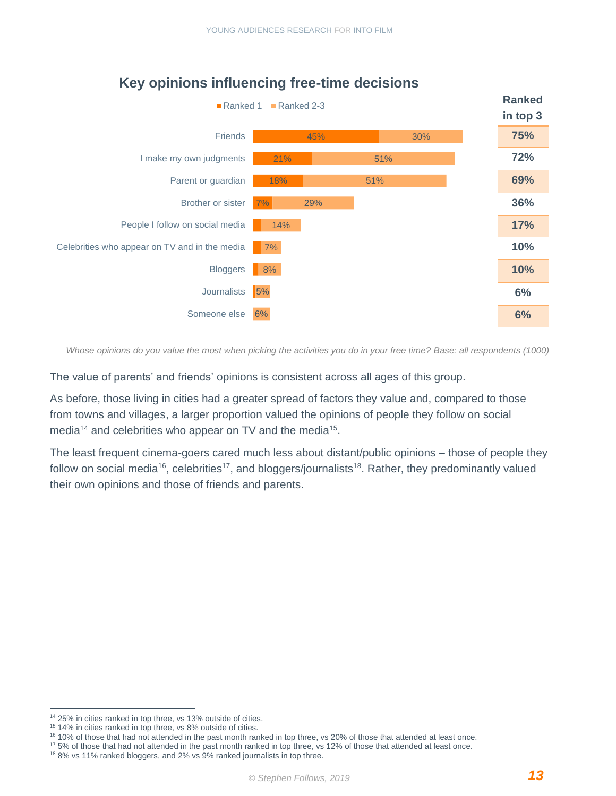

### **Key opinions influencing free-time decisions**

*Whose opinions do you value the most when picking the activities you do in your free time? Base: all respondents (1000)*

The value of parents' and friends' opinions is consistent across all ages of this group.

As before, those living in cities had a greater spread of factors they value and, compared to those from towns and villages, a larger proportion valued the opinions of people they follow on social media<sup>14</sup> and celebrities who appear on TV and the media<sup>15</sup>.

The least frequent cinema-goers cared much less about distant/public opinions – those of people they follow on social media<sup>16</sup>, celebrities<sup>17</sup>, and bloggers/journalists<sup>18</sup>. Rather, they predominantly valued their own opinions and those of friends and parents.

<sup>17</sup> 5% of those that had not attended in the past month ranked in top three, vs 12% of those that attended at least once.

<sup>14</sup> 25% in cities ranked in top three, vs 13% outside of cities.

<sup>15</sup> 14% in cities ranked in top three, vs 8% outside of cities.

<sup>16</sup> 10% of those that had not attended in the past month ranked in top three, vs 20% of those that attended at least once.

<sup>&</sup>lt;sup>18</sup> 8% vs 11% ranked bloggers, and 2% vs 9% ranked journalists in top three.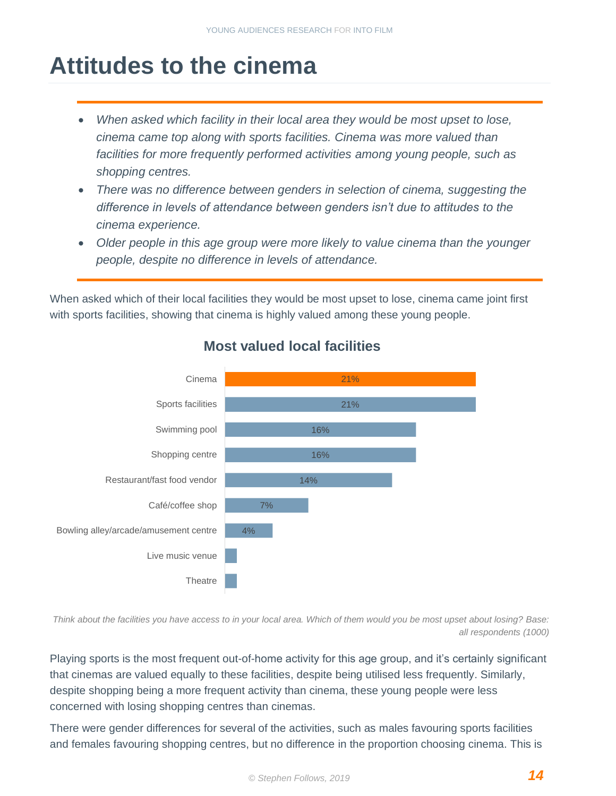## <span id="page-14-0"></span>**Attitudes to the cinema**

- *When asked which facility in their local area they would be most upset to lose, cinema came top along with sports facilities. Cinema was more valued than facilities for more frequently performed activities among young people, such as shopping centres.*
- *There was no difference between genders in selection of cinema, suggesting the difference in levels of attendance between genders isn't due to attitudes to the cinema experience.*
- *Older people in this age group were more likely to value cinema than the younger people, despite no difference in levels of attendance.*

When asked which of their local facilities they would be most upset to lose, cinema came joint first with sports facilities, showing that cinema is highly valued among these young people.



### **Most valued local facilities**

*Think about the facilities you have access to in your local area. Which of them would you be most upset about losing? Base: all respondents (1000)*

Playing sports is the most frequent out-of-home activity for this age group, and it's certainly significant that cinemas are valued equally to these facilities, despite being utilised less frequently. Similarly, despite shopping being a more frequent activity than cinema, these young people were less concerned with losing shopping centres than cinemas.

There were gender differences for several of the activities, such as males favouring sports facilities and females favouring shopping centres, but no difference in the proportion choosing cinema. This is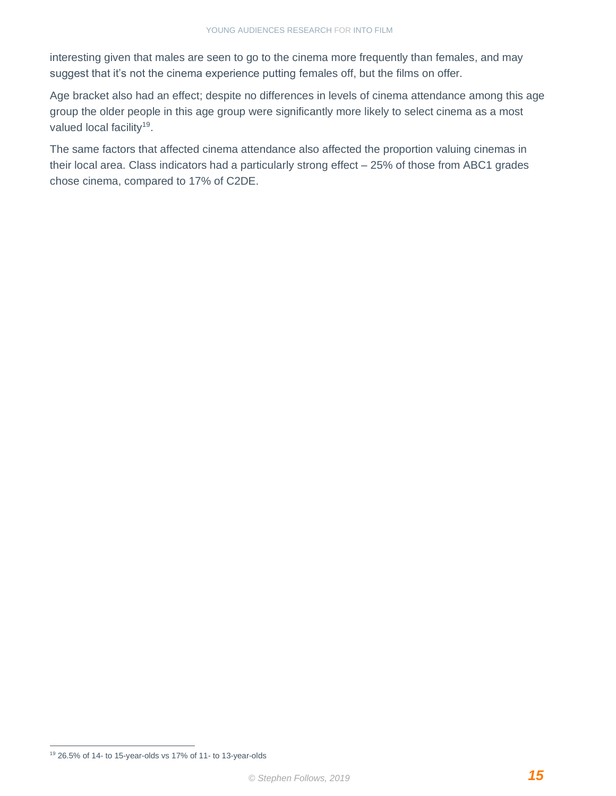interesting given that males are seen to go to the cinema more frequently than females, and may suggest that it's not the cinema experience putting females off, but the films on offer.

Age bracket also had an effect; despite no differences in levels of cinema attendance among this age group the older people in this age group were significantly more likely to select cinema as a most valued local facility<sup>19</sup>.

The same factors that affected cinema attendance also affected the proportion valuing cinemas in their local area. Class indicators had a particularly strong effect – 25% of those from ABC1 grades chose cinema, compared to 17% of C2DE.

<sup>19</sup> 26.5% of 14- to 15-year-olds vs 17% of 11- to 13-year-olds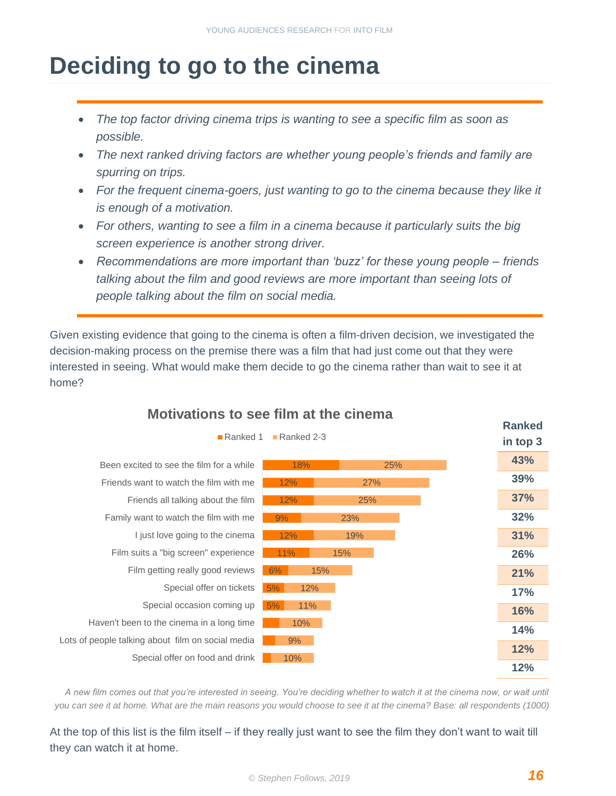## <span id="page-16-0"></span>**Deciding to go to the cinema**

- *The top factor driving cinema trips is wanting to see a specific film as soon as possible.*
- *The next ranked driving factors are whether young people's friends and family are spurring on trips.*
- For the frequent cinema-goers, just wanting to go to the cinema because they like it *is enough of a motivation.*
- *For others, wanting to see a film in a cinema because it particularly suits the big screen experience is another strong driver.*
- *Recommendations are more important than 'buzz' for these young people – friends talking about the film and good reviews are more important than seeing lots of people talking about the film on social media.*

Given existing evidence that going to the cinema is often a film-driven decision, we investigated the decision-making process on the premise there was a film that had just come out that they were interested in seeing. What would make them decide to go the cinema rather than wait to see it at home?



### **Motivations to see film at the cinema**

*A new film comes out that you're interested in seeing. You're deciding whether to watch it at the cinema now, or wait until you can see it at home. What are the main reasons you would choose to see it at the cinema? Base: all respondents (1000)*

At the top of this list is the film itself – if they really just want to see the film they don't want to wait till they can watch it at home.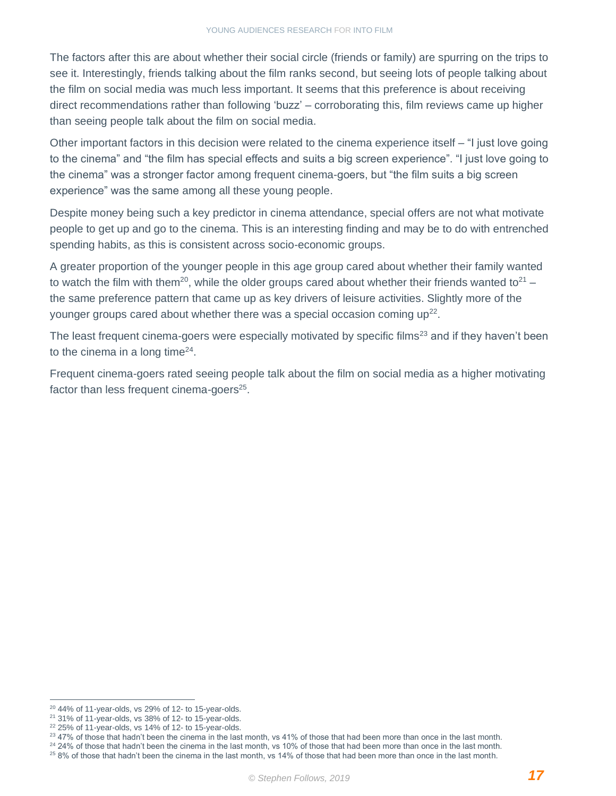The factors after this are about whether their social circle (friends or family) are spurring on the trips to see it. Interestingly, friends talking about the film ranks second, but seeing lots of people talking about the film on social media was much less important. It seems that this preference is about receiving direct recommendations rather than following 'buzz' – corroborating this, film reviews came up higher than seeing people talk about the film on social media.

Other important factors in this decision were related to the cinema experience itself – "I just love going to the cinema" and "the film has special effects and suits a big screen experience". "I just love going to the cinema" was a stronger factor among frequent cinema-goers, but "the film suits a big screen experience" was the same among all these young people.

Despite money being such a key predictor in cinema attendance, special offers are not what motivate people to get up and go to the cinema. This is an interesting finding and may be to do with entrenched spending habits, as this is consistent across socio-economic groups.

A greater proportion of the younger people in this age group cared about whether their family wanted to watch the film with them<sup>20</sup>, while the older groups cared about whether their friends wanted to<sup>21</sup> – the same preference pattern that came up as key drivers of leisure activities. Slightly more of the younger groups cared about whether there was a special occasion coming up<sup>22</sup>.

The least frequent cinema-goers were especially motivated by specific films<sup>23</sup> and if they haven't been to the cinema in a long time $24$ .

Frequent cinema-goers rated seeing people talk about the film on social media as a higher motivating factor than less frequent cinema-goers $25$ .

<sup>24</sup> 24% of those that hadn't been the cinema in the last month, vs 10% of those that had been more than once in the last month.

<sup>20</sup> 44% of 11-year-olds, vs 29% of 12- to 15-year-olds.

<sup>21</sup> 31% of 11-year-olds, vs 38% of 12- to 15-year-olds.

<sup>22</sup> 25% of 11-year-olds, vs 14% of 12- to 15-year-olds.

<sup>&</sup>lt;sup>23</sup> 47% of those that hadn't been the cinema in the last month, vs 41% of those that had been more than once in the last month.

 $258%$  of those that hadn't been the cinema in the last month, vs 14% of those that had been more than once in the last month.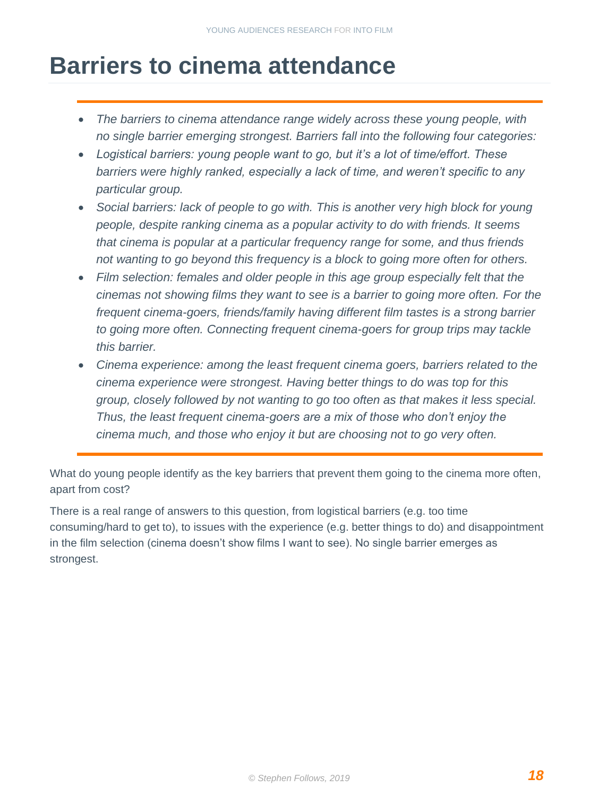## <span id="page-18-0"></span>**Barriers to cinema attendance**

- *The barriers to cinema attendance range widely across these young people, with no single barrier emerging strongest. Barriers fall into the following four categories:*
- *Logistical barriers: young people want to go, but it's a lot of time/effort. These barriers were highly ranked, especially a lack of time, and weren't specific to any particular group.*
- *Social barriers: lack of people to go with. This is another very high block for young people, despite ranking cinema as a popular activity to do with friends. It seems that cinema is popular at a particular frequency range for some, and thus friends not wanting to go beyond this frequency is a block to going more often for others.*
- *Film selection: females and older people in this age group especially felt that the cinemas not showing films they want to see is a barrier to going more often. For the frequent cinema-goers, friends/family having different film tastes is a strong barrier to going more often. Connecting frequent cinema-goers for group trips may tackle this barrier.*
- *Cinema experience: among the least frequent cinema goers, barriers related to the cinema experience were strongest. Having better things to do was top for this group, closely followed by not wanting to go too often as that makes it less special. Thus, the least frequent cinema-goers are a mix of those who don't enjoy the cinema much, and those who enjoy it but are choosing not to go very often.*

What do young people identify as the key barriers that prevent them going to the cinema more often, apart from cost?

There is a real range of answers to this question, from logistical barriers (e.g. too time consuming/hard to get to), to issues with the experience (e.g. better things to do) and disappointment in the film selection (cinema doesn't show films I want to see). No single barrier emerges as strongest.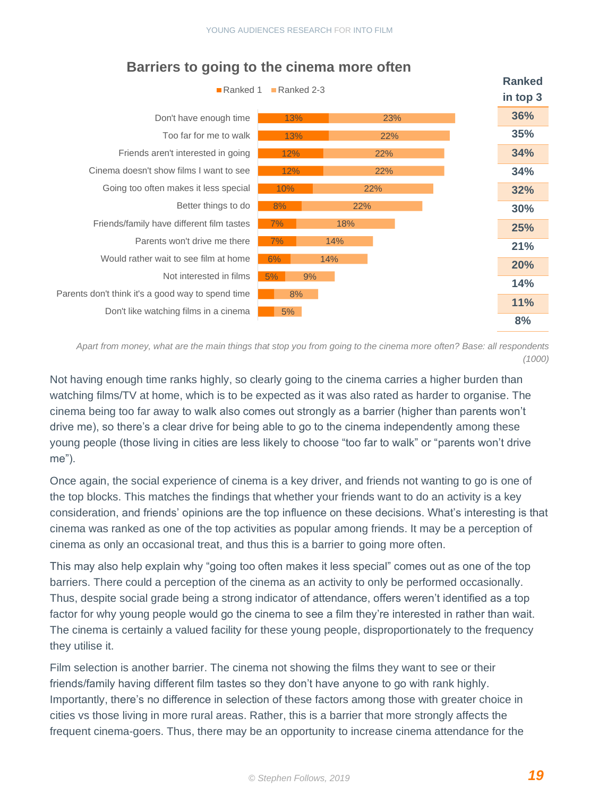| Ranked 1                                          | <b>Ranked</b><br>in top 3 |     |     |            |
|---------------------------------------------------|---------------------------|-----|-----|------------|
| Don't have enough time                            | 13%                       |     | 23% | 36%        |
| Too far for me to walk                            | 13%                       |     | 22% | <b>35%</b> |
| Friends aren't interested in going                | 12%                       |     | 22% | 34%        |
| Cinema doesn't show films I want to see           | 12%                       |     | 22% | 34%        |
| Going too often makes it less special             | 10%                       |     | 22% | 32%        |
| Better things to do                               | 8%                        | 22% |     | 30%        |
| Friends/family have different film tastes         | 7%                        | 18% |     | 25%        |
| Parents won't drive me there                      | 7%                        | 14% |     | 21%        |
| Would rather wait to see film at home             | 6%                        | 14% |     | 20%        |
| Not interested in films                           | 5%<br>9%                  |     |     | 14%        |
| Parents don't think it's a good way to spend time | 8%                        |     |     | <b>11%</b> |
| Don't like watching films in a cinema             | 5%                        |     |     | 8%         |

#### **Barriers to going to the cinema more often**

*Apart from money, what are the main things that stop you from going to the cinema more often? Base: all respondents (1000)*

Not having enough time ranks highly, so clearly going to the cinema carries a higher burden than watching films/TV at home, which is to be expected as it was also rated as harder to organise. The cinema being too far away to walk also comes out strongly as a barrier (higher than parents won't drive me), so there's a clear drive for being able to go to the cinema independently among these young people (those living in cities are less likely to choose "too far to walk" or "parents won't drive me").

Once again, the social experience of cinema is a key driver, and friends not wanting to go is one of the top blocks. This matches the findings that whether your friends want to do an activity is a key consideration, and friends' opinions are the top influence on these decisions. What's interesting is that cinema was ranked as one of the top activities as popular among friends. It may be a perception of cinema as only an occasional treat, and thus this is a barrier to going more often.

This may also help explain why "going too often makes it less special" comes out as one of the top barriers. There could a perception of the cinema as an activity to only be performed occasionally. Thus, despite social grade being a strong indicator of attendance, offers weren't identified as a top factor for why young people would go the cinema to see a film they're interested in rather than wait. The cinema is certainly a valued facility for these young people, disproportionately to the frequency they utilise it.

Film selection is another barrier. The cinema not showing the films they want to see or their friends/family having different film tastes so they don't have anyone to go with rank highly. Importantly, there's no difference in selection of these factors among those with greater choice in cities vs those living in more rural areas. Rather, this is a barrier that more strongly affects the frequent cinema-goers. Thus, there may be an opportunity to increase cinema attendance for the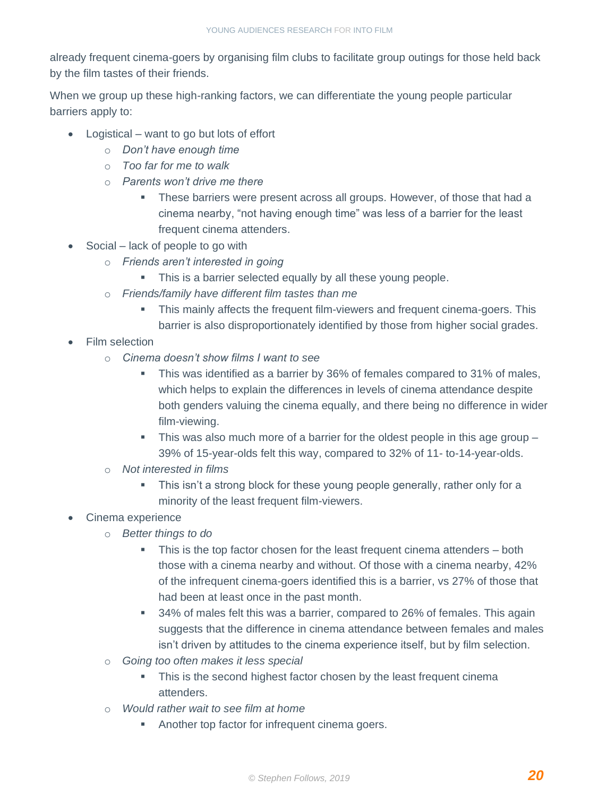already frequent cinema-goers by organising film clubs to facilitate group outings for those held back by the film tastes of their friends.

When we group up these high-ranking factors, we can differentiate the young people particular barriers apply to:

- Logistical want to go but lots of effort
	- o *Don't have enough time*
	- o *Too far for me to walk*
	- o *Parents won't drive me there* 
		- **These barriers were present across all groups. However, of those that had a** cinema nearby, "not having enough time" was less of a barrier for the least frequent cinema attenders.
- Social lack of people to go with
	- o *Friends aren't interested in going*
		- **This is a barrier selected equally by all these young people.**
	- o *Friends/family have different film tastes than me* 
		- **This mainly affects the frequent film-viewers and frequent cinema-goers. This** barrier is also disproportionately identified by those from higher social grades.
- **Film selection** 
	- o *Cinema doesn't show films I want to see*
		- **This was identified as a barrier by 36% of females compared to 31% of males,** which helps to explain the differences in levels of cinema attendance despite both genders valuing the cinema equally, and there being no difference in wider film-viewing.
		- $\blacksquare$  This was also much more of a barrier for the oldest people in this age group  $\blacksquare$ 39% of 15-year-olds felt this way, compared to 32% of 11- to-14-year-olds.
	- o *Not interested in films* 
		- **EXED This isn't a strong block for these young people generally, rather only for a** minority of the least frequent film-viewers.

#### • Cinema experience

- o *Better things to do* 
	- **•** This is the top factor chosen for the least frequent cinema attenders both those with a cinema nearby and without. Of those with a cinema nearby, 42% of the infrequent cinema-goers identified this is a barrier, vs 27% of those that had been at least once in the past month.
	- 34% of males felt this was a barrier, compared to 26% of females. This again suggests that the difference in cinema attendance between females and males isn't driven by attitudes to the cinema experience itself, but by film selection.
- o *Going too often makes it less special* 
	- **•** This is the second highest factor chosen by the least frequent cinema attenders.
- o *Would rather wait to see film at home*
	- Another top factor for infrequent cinema goers.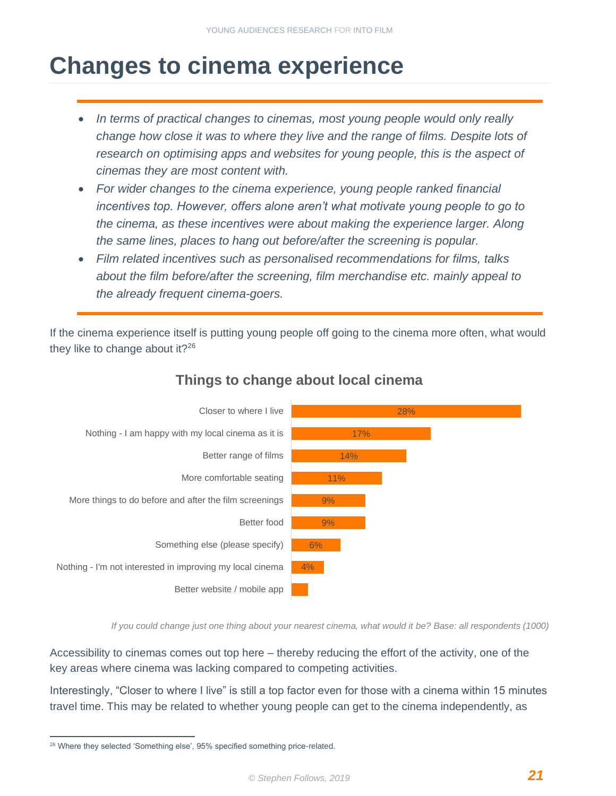## <span id="page-21-0"></span>**Changes to cinema experience**

- *In terms of practical changes to cinemas, most young people would only really change how close it was to where they live and the range of films. Despite lots of research on optimising apps and websites for young people, this is the aspect of cinemas they are most content with.*
- *For wider changes to the cinema experience, young people ranked financial* incentives top. However, offers alone aren't what motivate young people to go to *the cinema, as these incentives were about making the experience larger. Along the same lines, places to hang out before/after the screening is popular.*
- *Film related incentives such as personalised recommendations for films, talks about the film before/after the screening, film merchandise etc. mainly appeal to the already frequent cinema-goers.*

If the cinema experience itself is putting young people off going to the cinema more often, what would they like to change about it? $26$ 



### **Things to change about local cinema**

*If you could change just one thing about your nearest cinema, what would it be? Base: all respondents (1000)*

Accessibility to cinemas comes out top here – thereby reducing the effort of the activity, one of the key areas where cinema was lacking compared to competing activities.

Interestingly, "Closer to where I live" is still a top factor even for those with a cinema within 15 minutes travel time. This may be related to whether young people can get to the cinema independently, as

<sup>&</sup>lt;sup>26</sup> Where they selected 'Something else', 95% specified something price-related.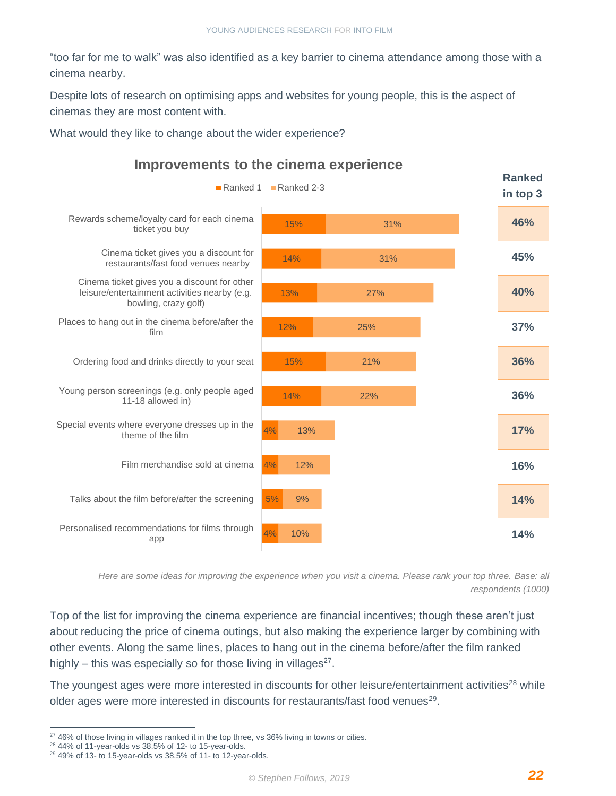"too far for me to walk" was also identified as a key barrier to cinema attendance among those with a cinema nearby.

Despite lots of research on optimising apps and websites for young people, this is the aspect of cinemas they are most content with.

What would they like to change about the wider experience?



**Improvements to the cinema experience**

*Here are some ideas for improving the experience when you visit a cinema. Please rank your top three. Base: all respondents (1000)*

Top of the list for improving the cinema experience are financial incentives; though these aren't just about reducing the price of cinema outings, but also making the experience larger by combining with other events. Along the same lines, places to hang out in the cinema before/after the film ranked highly – this was especially so for those living in villages $27$ .

The youngest ages were more interested in discounts for other leisure/entertainment activities<sup>28</sup> while older ages were more interested in discounts for restaurants/fast food venues<sup>29</sup>.

<sup>&</sup>lt;sup>27</sup> 46% of those living in villages ranked it in the top three, vs 36% living in towns or cities.

<sup>28</sup> 44% of 11-year-olds vs 38.5% of 12- to 15-year-olds.

 $29$  49% of 13- to 15-year-olds vs 38.5% of 11- to 12-year-olds.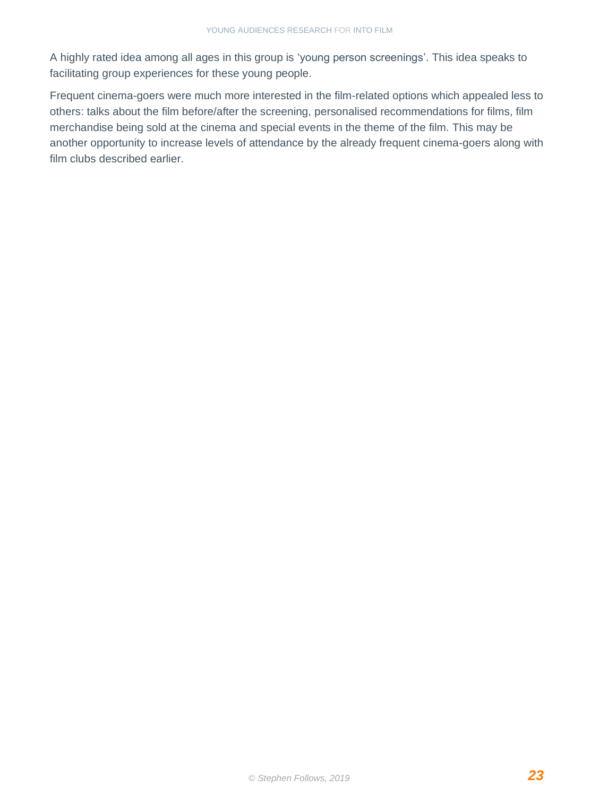A highly rated idea among all ages in this group is 'young person screenings'. This idea speaks to facilitating group experiences for these young people.

Frequent cinema-goers were much more interested in the film-related options which appealed less to others: talks about the film before/after the screening, personalised recommendations for films, film merchandise being sold at the cinema and special events in the theme of the film. This may be another opportunity to increase levels of attendance by the already frequent cinema-goers along with film clubs described earlier.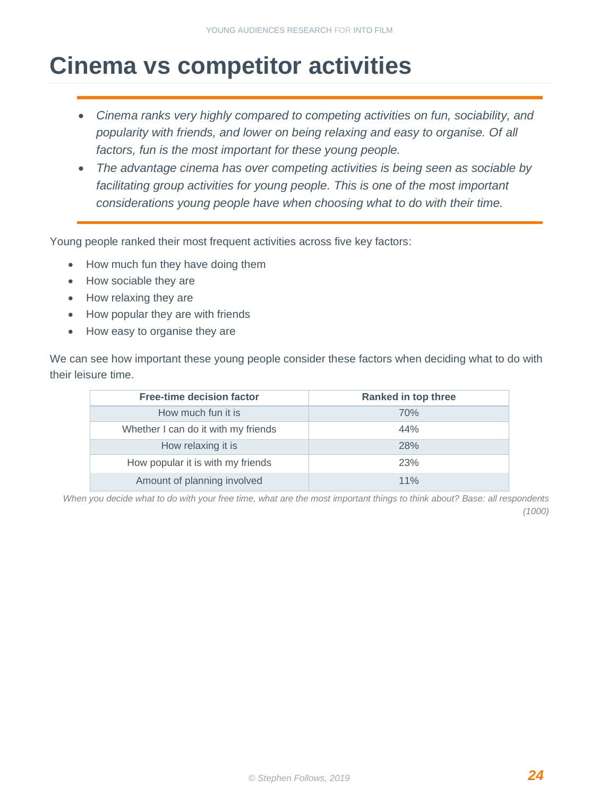## <span id="page-24-0"></span>**Cinema vs competitor activities**

- *Cinema ranks very highly compared to competing activities on fun, sociability, and popularity with friends, and lower on being relaxing and easy to organise. Of all factors, fun is the most important for these young people.*
- The advantage cinema has over competing activities is being seen as sociable by facilitating group activities for young people. This is one of the most important *considerations young people have when choosing what to do with their time.*

Young people ranked their most frequent activities across five key factors:

- How much fun they have doing them
- How sociable they are
- How relaxing they are
- How popular they are with friends
- How easy to organise they are

We can see how important these young people consider these factors when deciding what to do with their leisure time.

| <b>Free-time decision factor</b>    | <b>Ranked in top three</b> |
|-------------------------------------|----------------------------|
| How much fun it is                  | 70%                        |
| Whether I can do it with my friends | 44%                        |
| How relaxing it is                  | 28%                        |
| How popular it is with my friends   | 23%                        |
| Amount of planning involved         | 11%                        |

*When you decide what to do with your free time, what are the most important things to think about? Base: all respondents (1000)*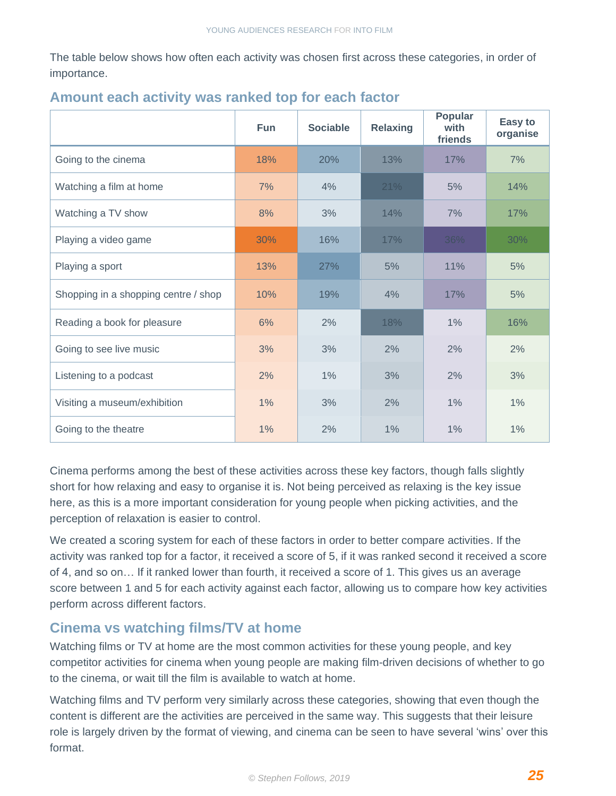The table below shows how often each activity was chosen first across these categories, in order of importance.

|                                      | <b>Fun</b> | <b>Sociable</b> | <b>Relaxing</b> | Popular<br>with<br>friends | Easy to<br>organise |
|--------------------------------------|------------|-----------------|-----------------|----------------------------|---------------------|
| Going to the cinema                  | 18%        | 20%             | 13%             | 17%                        | 7%                  |
| Watching a film at home              | 7%         | 4%              | 21%             | 5%                         | 14%                 |
| Watching a TV show                   | 8%         | 3%              | 14%             | 7%                         | 17%                 |
| Playing a video game                 | 30%        | 16%             | 17%             | 36%                        | 30%                 |
| Playing a sport                      | 13%        | 27%             | 5%              | 11%                        | 5%                  |
| Shopping in a shopping centre / shop | 10%        | 19%             | 4%              | 17%                        | 5%                  |
| Reading a book for pleasure          | 6%         | 2%              | 18%             | $1\%$                      | 16%                 |
| Going to see live music              | 3%         | 3%              | 2%              | 2%                         | 2%                  |
| Listening to a podcast               | 2%         | $1\%$           | 3%              | 2%                         | 3%                  |
| Visiting a museum/exhibition         | 1%         | 3%              | 2%              | 1%                         | 1%                  |
| Going to the theatre                 | 1%         | 2%              | 1%              | 1%                         | 1%                  |

#### **Amount each activity was ranked top for each factor**

Cinema performs among the best of these activities across these key factors, though falls slightly short for how relaxing and easy to organise it is. Not being perceived as relaxing is the key issue here, as this is a more important consideration for young people when picking activities, and the perception of relaxation is easier to control.

We created a scoring system for each of these factors in order to better compare activities. If the activity was ranked top for a factor, it received a score of 5, if it was ranked second it received a score of 4, and so on… If it ranked lower than fourth, it received a score of 1. This gives us an average score between 1 and 5 for each activity against each factor, allowing us to compare how key activities perform across different factors.

#### **Cinema vs watching films/TV at home**

Watching films or TV at home are the most common activities for these young people, and key competitor activities for cinema when young people are making film-driven decisions of whether to go to the cinema, or wait till the film is available to watch at home.

Watching films and TV perform very similarly across these categories, showing that even though the content is different are the activities are perceived in the same way. This suggests that their leisure role is largely driven by the format of viewing, and cinema can be seen to have several 'wins' over this format.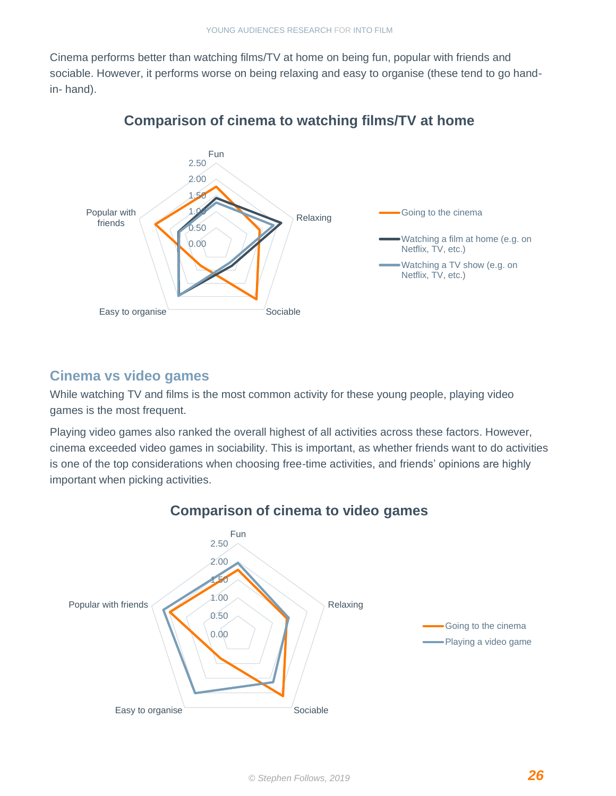Cinema performs better than watching films/TV at home on being fun, popular with friends and sociable. However, it performs worse on being relaxing and easy to organise (these tend to go handin- hand).



#### **Comparison of cinema to watching films/TV at home**

#### **Cinema vs video games**

While watching TV and films is the most common activity for these young people, playing video games is the most frequent.

Playing video games also ranked the overall highest of all activities across these factors. However, cinema exceeded video games in sociability. This is important, as whether friends want to do activities is one of the top considerations when choosing free-time activities, and friends' opinions are highly important when picking activities.



#### **Comparison of cinema to video games**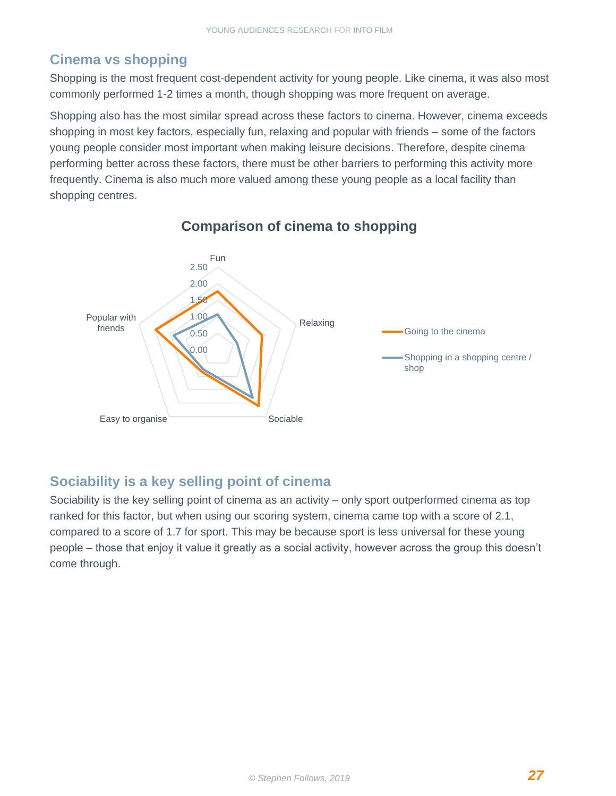### **Cinema vs shopping**

Shopping is the most frequent cost-dependent activity for young people. Like cinema, it was also most commonly performed 1-2 times a month, though shopping was more frequent on average.

Shopping also has the most similar spread across these factors to cinema. However, cinema exceeds shopping in most key factors, especially fun, relaxing and popular with friends – some of the factors young people consider most important when making leisure decisions. Therefore, despite cinema performing better across these factors, there must be other barriers to performing this activity more frequently. Cinema is also much more valued among these young people as a local facility than shopping centres.



#### **Comparison of cinema to shopping**

#### **Sociability is a key selling point of cinema**

Sociability is the key selling point of cinema as an activity – only sport outperformed cinema as top ranked for this factor, but when using our scoring system, cinema came top with a score of 2.1, compared to a score of 1.7 for sport. This may be because sport is less universal for these young people – those that enjoy it value it greatly as a social activity, however across the group this doesn't come through.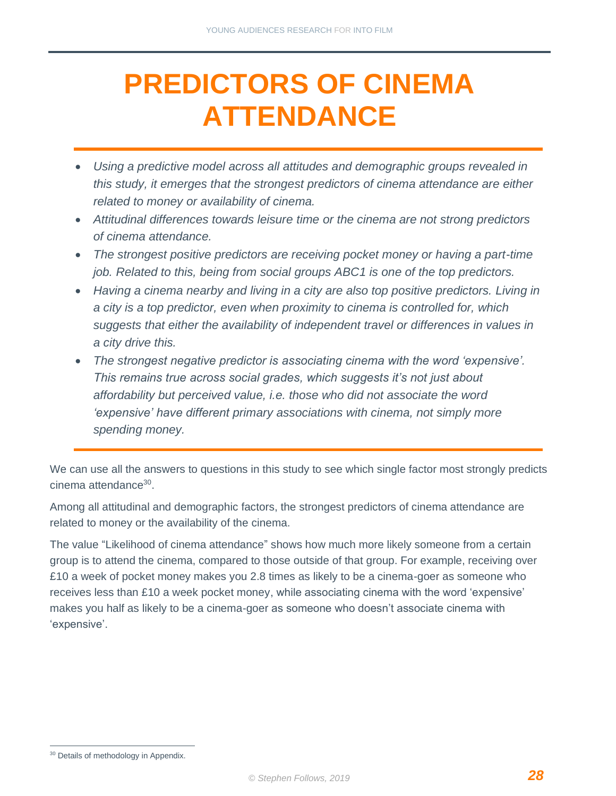## <span id="page-28-0"></span>**PREDICTORS OF CINEMA ATTENDANCE**

- *Using a predictive model across all attitudes and demographic groups revealed in this study, it emerges that the strongest predictors of cinema attendance are either related to money or availability of cinema.*
- *Attitudinal differences towards leisure time or the cinema are not strong predictors of cinema attendance.*
- *The strongest positive predictors are receiving pocket money or having a part-time job. Related to this, being from social groups ABC1 is one of the top predictors.*
- *Having a cinema nearby and living in a city are also top positive predictors. Living in a city is a top predictor, even when proximity to cinema is controlled for, which suggests that either the availability of independent travel or differences in values in a city drive this.*
- *The strongest negative predictor is associating cinema with the word 'expensive'. This remains true across social grades, which suggests it's not just about affordability but perceived value, i.e. those who did not associate the word 'expensive' have different primary associations with cinema, not simply more spending money.*

We can use all the answers to questions in this study to see which single factor most strongly predicts cinema attendance<sup>30</sup>.

Among all attitudinal and demographic factors, the strongest predictors of cinema attendance are related to money or the availability of the cinema.

The value "Likelihood of cinema attendance" shows how much more likely someone from a certain group is to attend the cinema, compared to those outside of that group. For example, receiving over £10 a week of pocket money makes you 2.8 times as likely to be a cinema-goer as someone who receives less than £10 a week pocket money, while associating cinema with the word 'expensive' makes you half as likely to be a cinema-goer as someone who doesn't associate cinema with 'expensive'.

<sup>&</sup>lt;sup>30</sup> Details of methodology in Appendix.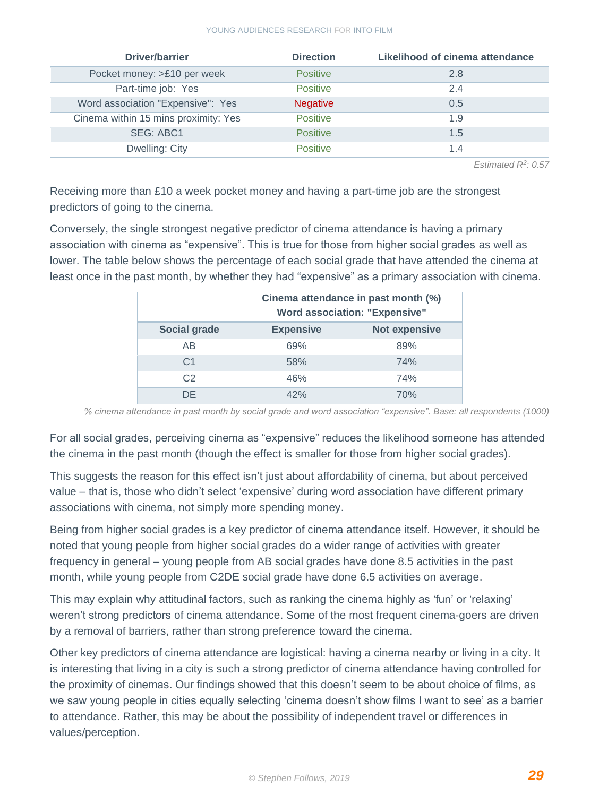#### YOUNG AUDIENCES RESEARCH FOR INTO FILM

| Driver/barrier                       | <b>Direction</b> | Likelihood of cinema attendance |
|--------------------------------------|------------------|---------------------------------|
| Pocket money: >£10 per week          | <b>Positive</b>  | 2.8                             |
| Part-time job: Yes                   | <b>Positive</b>  | 2.4                             |
| Word association "Expensive": Yes    | <b>Negative</b>  | 0.5                             |
| Cinema within 15 mins proximity: Yes | <b>Positive</b>  | 1.9                             |
| <b>SEG: ABC1</b>                     | <b>Positive</b>  | 1.5                             |
| Dwelling: City                       | <b>Positive</b>  | 1.4                             |

*Estimated R<sup>2</sup> : 0.57*

Receiving more than £10 a week pocket money and having a part-time job are the strongest predictors of going to the cinema.

Conversely, the single strongest negative predictor of cinema attendance is having a primary association with cinema as "expensive". This is true for those from higher social grades as well as lower. The table below shows the percentage of each social grade that have attended the cinema at least once in the past month, by whether they had "expensive" as a primary association with cinema.

|                     | Cinema attendance in past month (%)<br><b>Word association: "Expensive"</b> |                      |
|---------------------|-----------------------------------------------------------------------------|----------------------|
| <b>Social grade</b> | <b>Expensive</b>                                                            | <b>Not expensive</b> |
| AB                  | 69%                                                                         | 89%                  |
| C <sub>1</sub>      | 58%                                                                         | 74%                  |
| C <sub>2</sub>      | 46%                                                                         | 74%                  |
| DE                  | 42%                                                                         | 70%                  |

*% cinema attendance in past month by social grade and word association "expensive". Base: all respondents (1000)*

For all social grades, perceiving cinema as "expensive" reduces the likelihood someone has attended the cinema in the past month (though the effect is smaller for those from higher social grades).

This suggests the reason for this effect isn't just about affordability of cinema, but about perceived value – that is, those who didn't select 'expensive' during word association have different primary associations with cinema, not simply more spending money.

Being from higher social grades is a key predictor of cinema attendance itself. However, it should be noted that young people from higher social grades do a wider range of activities with greater frequency in general – young people from AB social grades have done 8.5 activities in the past month, while young people from C2DE social grade have done 6.5 activities on average.

This may explain why attitudinal factors, such as ranking the cinema highly as 'fun' or 'relaxing' weren't strong predictors of cinema attendance. Some of the most frequent cinema-goers are driven by a removal of barriers, rather than strong preference toward the cinema.

Other key predictors of cinema attendance are logistical: having a cinema nearby or living in a city. It is interesting that living in a city is such a strong predictor of cinema attendance having controlled for the proximity of cinemas. Our findings showed that this doesn't seem to be about choice of films, as we saw young people in cities equally selecting 'cinema doesn't show films I want to see' as a barrier to attendance. Rather, this may be about the possibility of independent travel or differences in values/perception.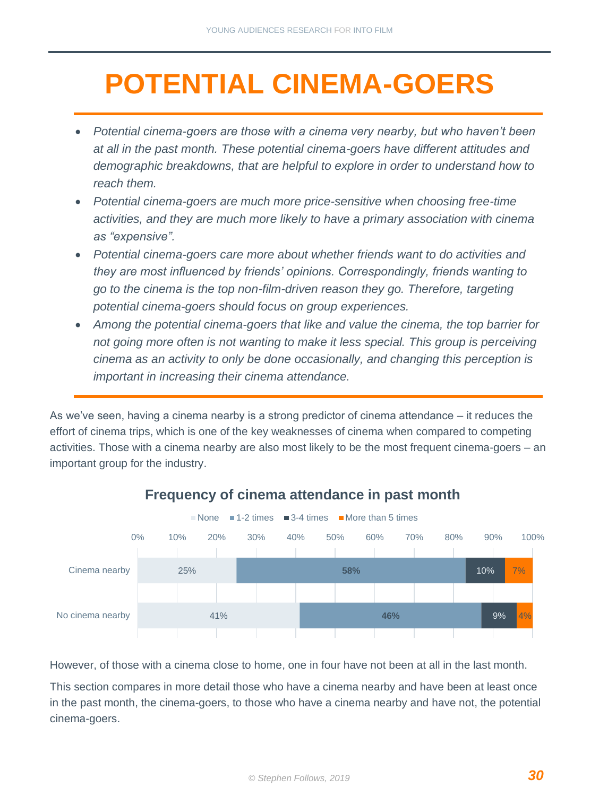## <span id="page-30-0"></span>**POTENTIAL CINEMA-GOERS**

- *Potential cinema-goers are those with a cinema very nearby, but who haven't been at all in the past month. These potential cinema-goers have different attitudes and demographic breakdowns, that are helpful to explore in order to understand how to reach them.*
- *Potential cinema-goers are much more price-sensitive when choosing free-time activities, and they are much more likely to have a primary association with cinema as "expensive".*
- *Potential cinema-goers care more about whether friends want to do activities and they are most influenced by friends' opinions. Correspondingly, friends wanting to go to the cinema is the top non-film-driven reason they go. Therefore, targeting potential cinema-goers should focus on group experiences.*
- *Among the potential cinema-goers that like and value the cinema, the top barrier for not going more often is not wanting to make it less special. This group is perceiving cinema as an activity to only be done occasionally, and changing this perception is important in increasing their cinema attendance.*

As we've seen, having a cinema nearby is a strong predictor of cinema attendance – it reduces the effort of cinema trips, which is one of the key weaknesses of cinema when compared to competing activities. Those with a cinema nearby are also most likely to be the most frequent cinema-goers – an important group for the industry.



#### **Frequency of cinema attendance in past month**

However, of those with a cinema close to home, one in four have not been at all in the last month.

This section compares in more detail those who have a cinema nearby and have been at least once in the past month, the cinema-goers, to those who have a cinema nearby and have not, the potential cinema-goers.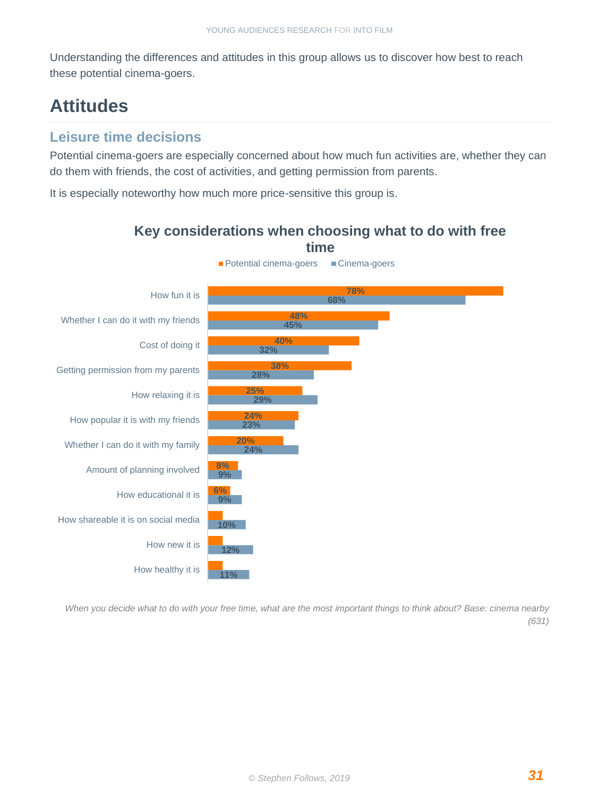Understanding the differences and attitudes in this group allows us to discover how best to reach these potential cinema-goers.

## **Attitudes**

#### **Leisure time decisions**

Potential cinema-goers are especially concerned about how much fun activities are, whether they can do them with friends, the cost of activities, and getting permission from parents.

It is especially noteworthy how much more price-sensitive this group is.



*When you decide what to do with your free time, what are the most important things to think about? Base: cinema nearby (631)*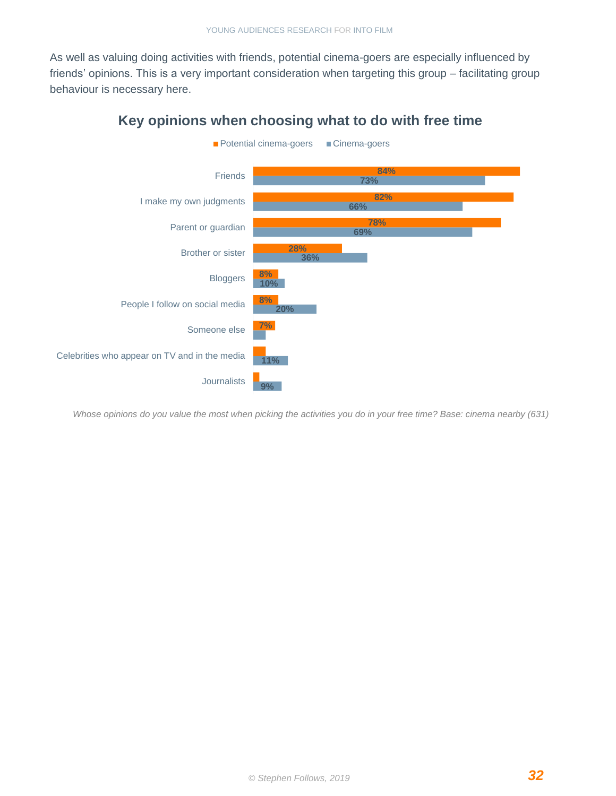As well as valuing doing activities with friends, potential cinema-goers are especially influenced by friends' opinions. This is a very important consideration when targeting this group – facilitating group behaviour is necessary here.



**Key opinions when choosing what to do with free time** 

*Whose opinions do you value the most when picking the activities you do in your free time? Base: cinema nearby (631)*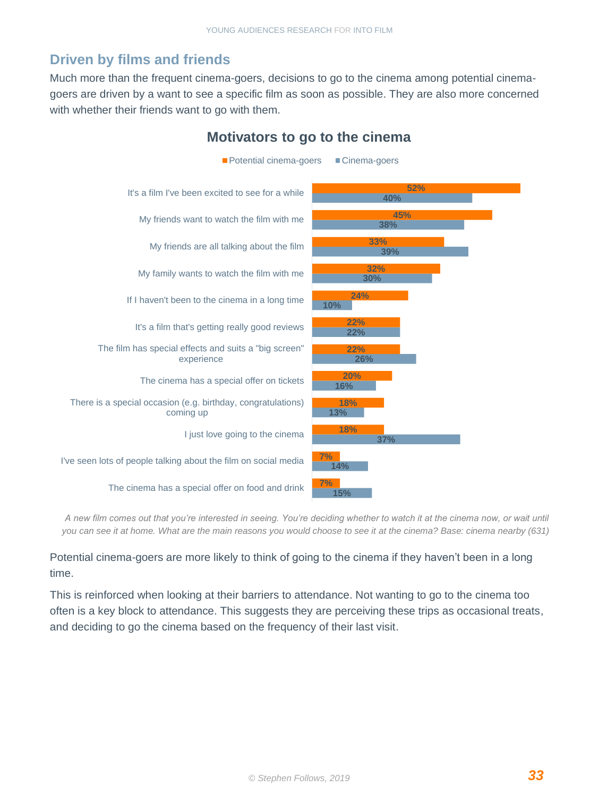#### **Driven by films and friends**

Much more than the frequent cinema-goers, decisions to go to the cinema among potential cinemagoers are driven by a want to see a specific film as soon as possible. They are also more concerned with whether their friends want to go with them.



**Motivators to go to the cinema**

*A new film comes out that you're interested in seeing. You're deciding whether to watch it at the cinema now, or wait until you can see it at home. What are the main reasons you would choose to see it at the cinema? Base: cinema nearby (631)*

Potential cinema-goers are more likely to think of going to the cinema if they haven't been in a long time.

This is reinforced when looking at their barriers to attendance. Not wanting to go to the cinema too often is a key block to attendance. This suggests they are perceiving these trips as occasional treats, and deciding to go the cinema based on the frequency of their last visit.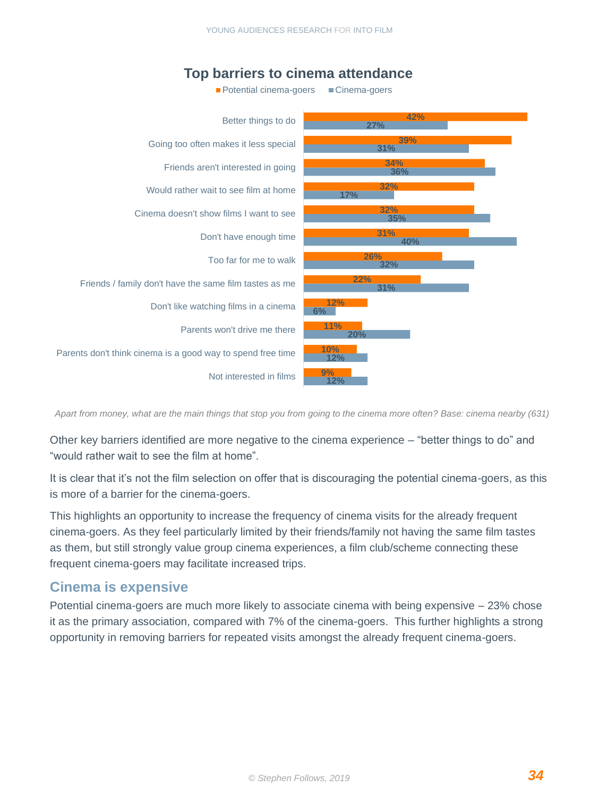

#### **Top barriers to cinema attendance**

*Apart from money, what are the main things that stop you from going to the cinema more often? Base: cinema nearby (631)*

Other key barriers identified are more negative to the cinema experience – "better things to do" and "would rather wait to see the film at home".

It is clear that it's not the film selection on offer that is discouraging the potential cinema-goers, as this is more of a barrier for the cinema-goers.

This highlights an opportunity to increase the frequency of cinema visits for the already frequent cinema-goers. As they feel particularly limited by their friends/family not having the same film tastes as them, but still strongly value group cinema experiences, a film club/scheme connecting these frequent cinema-goers may facilitate increased trips.

#### **Cinema is expensive**

Potential cinema-goers are much more likely to associate cinema with being expensive – 23% chose it as the primary association, compared with 7% of the cinema-goers. This further highlights a strong opportunity in removing barriers for repeated visits amongst the already frequent cinema-goers.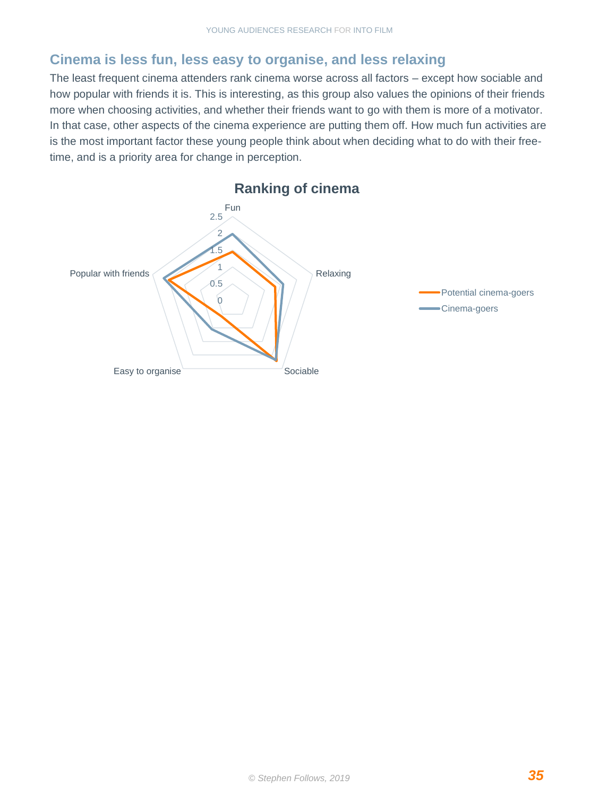#### **Cinema is less fun, less easy to organise, and less relaxing**

The least frequent cinema attenders rank cinema worse across all factors – except how sociable and how popular with friends it is. This is interesting, as this group also values the opinions of their friends more when choosing activities, and whether their friends want to go with them is more of a motivator. In that case, other aspects of the cinema experience are putting them off. How much fun activities are is the most important factor these young people think about when deciding what to do with their freetime, and is a priority area for change in perception.

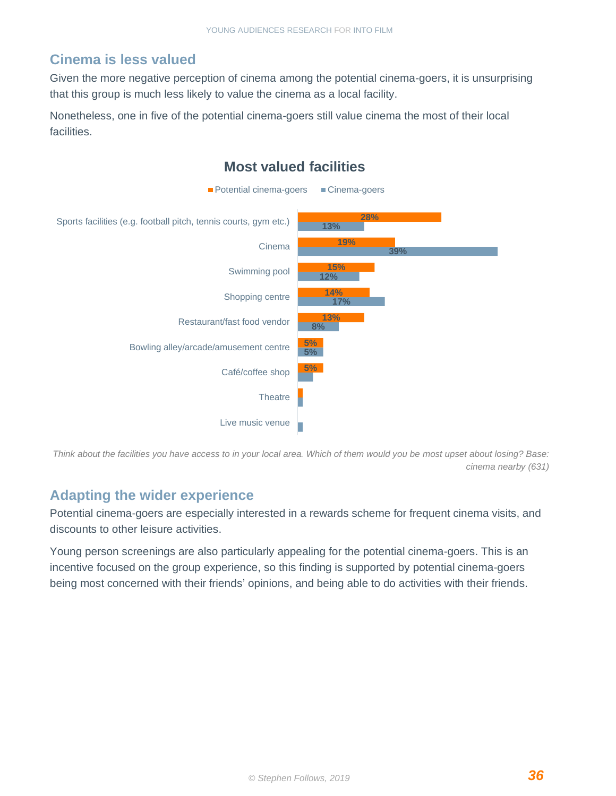#### **Cinema is less valued**

Given the more negative perception of cinema among the potential cinema-goers, it is unsurprising that this group is much less likely to value the cinema as a local facility.

Nonetheless, one in five of the potential cinema-goers still value cinema the most of their local facilities.



*Think about the facilities you have access to in your local area. Which of them would you be most upset about losing? Base: cinema nearby (631)*

#### **Adapting the wider experience**

Potential cinema-goers are especially interested in a rewards scheme for frequent cinema visits, and discounts to other leisure activities.

Young person screenings are also particularly appealing for the potential cinema-goers. This is an incentive focused on the group experience, so this finding is supported by potential cinema-goers being most concerned with their friends' opinions, and being able to do activities with their friends.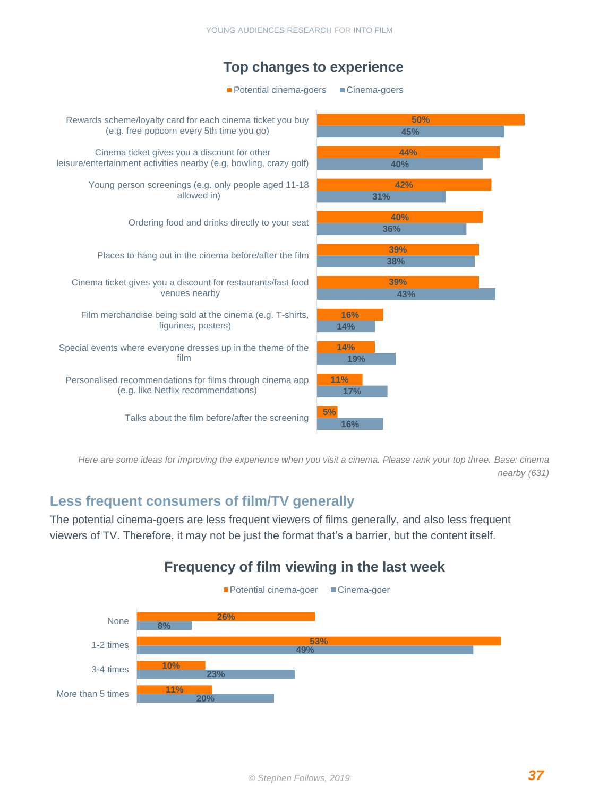

*Here are some ideas for improving the experience when you visit a cinema. Please rank your top three. Base: cinema nearby (631)*

#### **Less frequent consumers of film/TV generally**

The potential cinema-goers are less frequent viewers of films generally, and also less frequent viewers of TV. Therefore, it may not be just the format that's a barrier, but the content itself.

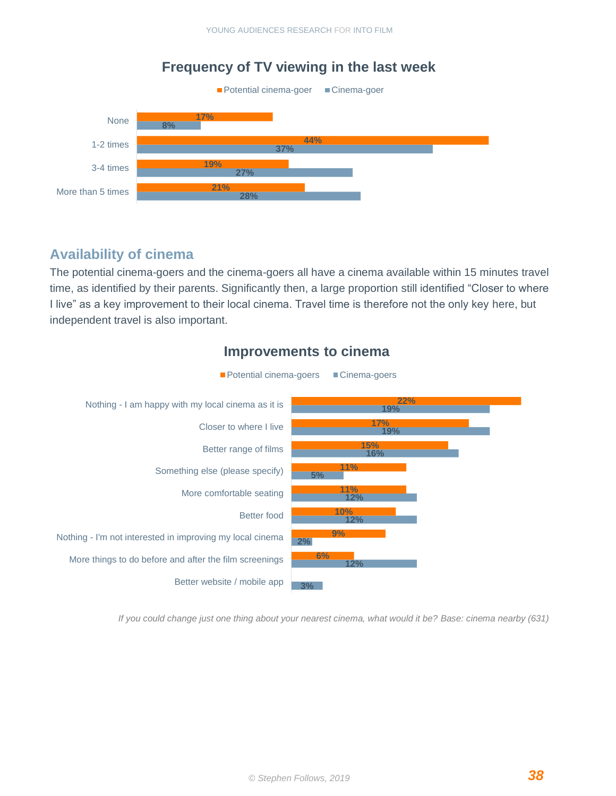#### **28% 27% 37% 8% 21% 19% 44% 17%** More than 5 times 3-4 times 1-2 times None **Frequency of TV viewing in the last week** ■ Potential cinema-goer ■ Cinema-goer

#### **Availability of cinema**

The potential cinema-goers and the cinema-goers all have a cinema available within 15 minutes travel time, as identified by their parents. Significantly then, a large proportion still identified "Closer to where I live" as a key improvement to their local cinema. Travel time is therefore not the only key here, but independent travel is also important.



#### **Improvements to cinema**

*If you could change just one thing about your nearest cinema, what would it be? Base: cinema nearby (631)*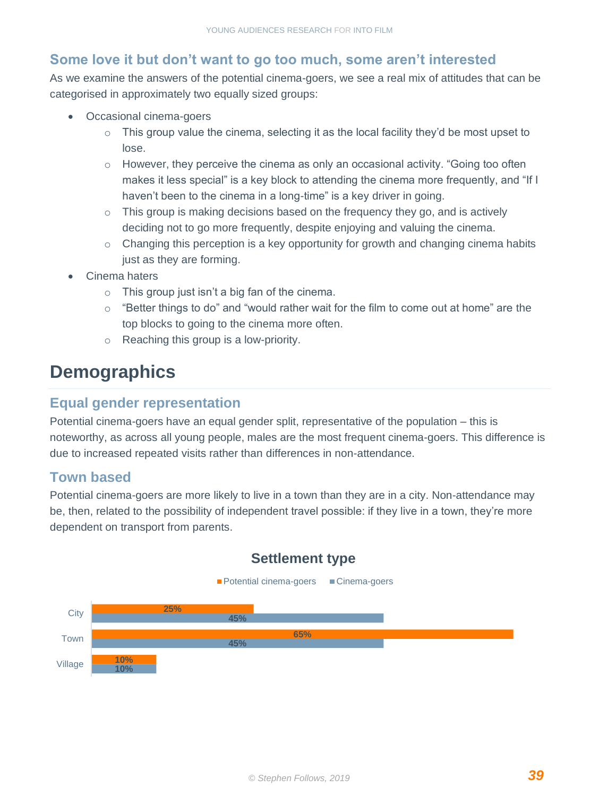#### **Some love it but don't want to go too much, some aren't interested**

As we examine the answers of the potential cinema-goers, we see a real mix of attitudes that can be categorised in approximately two equally sized groups:

- Occasional cinema-goers
	- $\circ$  This group value the cinema, selecting it as the local facility they'd be most upset to lose.
	- $\circ$  However, they perceive the cinema as only an occasional activity. "Going too often makes it less special" is a key block to attending the cinema more frequently, and "If I haven't been to the cinema in a long-time" is a key driver in going.
	- $\circ$  This group is making decisions based on the frequency they go, and is actively deciding not to go more frequently, despite enjoying and valuing the cinema.
	- o Changing this perception is a key opportunity for growth and changing cinema habits just as they are forming.
- Cinema haters
	- $\circ$  This group just isn't a big fan of the cinema.
	- $\circ$  "Better things to do" and "would rather wait for the film to come out at home" are the top blocks to going to the cinema more often.
	- o Reaching this group is a low-priority.

### **Demographics**

#### **Equal gender representation**

Potential cinema-goers have an equal gender split, representative of the population – this is noteworthy, as across all young people, males are the most frequent cinema-goers. This difference is due to increased repeated visits rather than differences in non-attendance.

#### **Town based**

Potential cinema-goers are more likely to live in a town than they are in a city. Non-attendance may be, then, related to the possibility of independent travel possible: if they live in a town, they're more dependent on transport from parents.



#### **Settlement type**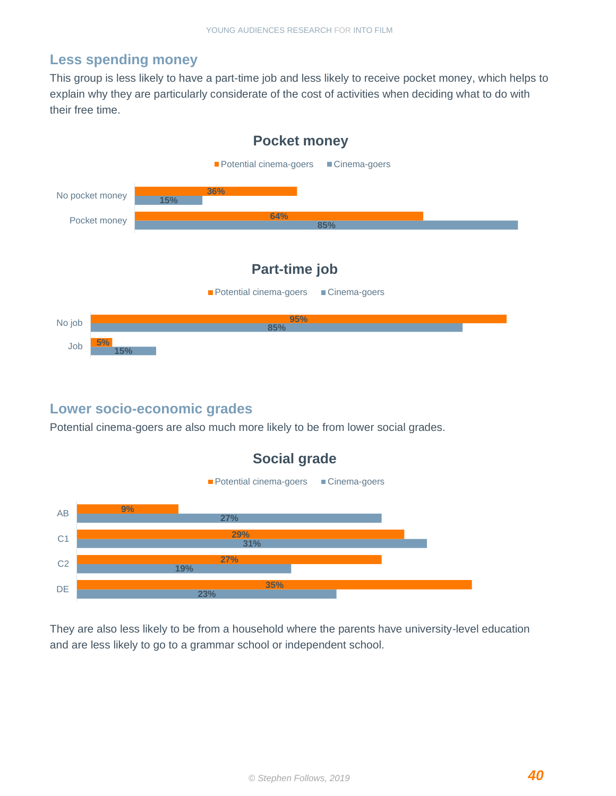#### **Less spending money**

This group is less likely to have a part-time job and less likely to receive pocket money, which helps to explain why they are particularly considerate of the cost of activities when deciding what to do with their free time.



#### **Lower socio-economic grades**

Potential cinema-goers are also much more likely to be from lower social grades.



They are also less likely to be from a household where the parents have university-level education and are less likely to go to a grammar school or independent school.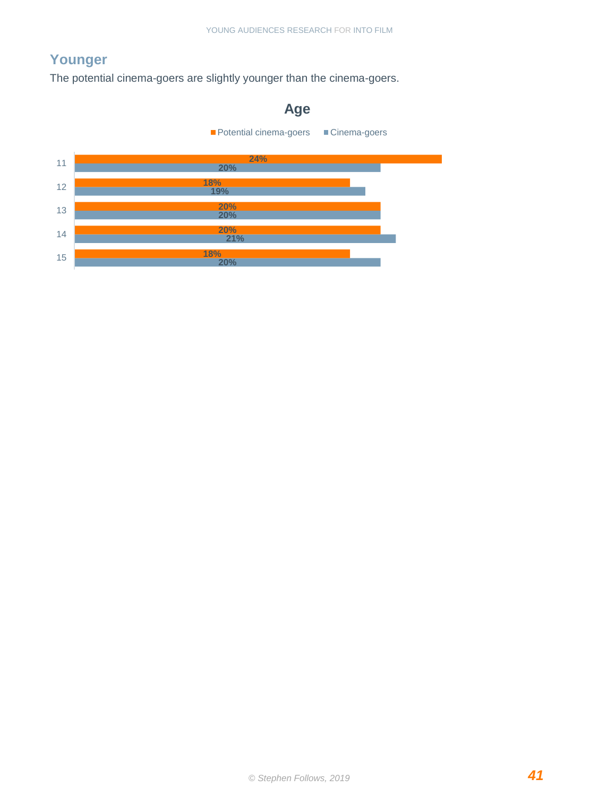### **Younger**

The potential cinema-goers are slightly younger than the cinema-goers.

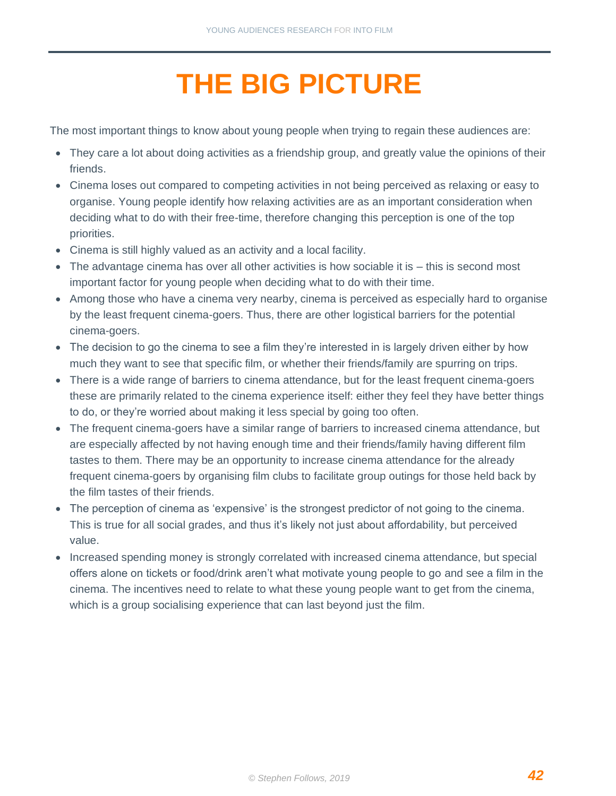# **THE BIG PICTURE**

<span id="page-42-0"></span>The most important things to know about young people when trying to regain these audiences are:

- They care a lot about doing activities as a friendship group, and greatly value the opinions of their friends.
- Cinema loses out compared to competing activities in not being perceived as relaxing or easy to organise. Young people identify how relaxing activities are as an important consideration when deciding what to do with their free-time, therefore changing this perception is one of the top priorities.
- Cinema is still highly valued as an activity and a local facility.
- The advantage cinema has over all other activities is how sociable it is this is second most important factor for young people when deciding what to do with their time.
- Among those who have a cinema very nearby, cinema is perceived as especially hard to organise by the least frequent cinema-goers. Thus, there are other logistical barriers for the potential cinema-goers.
- The decision to go the cinema to see a film they're interested in is largely driven either by how much they want to see that specific film, or whether their friends/family are spurring on trips.
- There is a wide range of barriers to cinema attendance, but for the least frequent cinema-goers these are primarily related to the cinema experience itself: either they feel they have better things to do, or they're worried about making it less special by going too often.
- The frequent cinema-goers have a similar range of barriers to increased cinema attendance, but are especially affected by not having enough time and their friends/family having different film tastes to them. There may be an opportunity to increase cinema attendance for the already frequent cinema-goers by organising film clubs to facilitate group outings for those held back by the film tastes of their friends.
- The perception of cinema as 'expensive' is the strongest predictor of not going to the cinema. This is true for all social grades, and thus it's likely not just about affordability, but perceived value.
- Increased spending money is strongly correlated with increased cinema attendance, but special offers alone on tickets or food/drink aren't what motivate young people to go and see a film in the cinema. The incentives need to relate to what these young people want to get from the cinema, which is a group socialising experience that can last beyond just the film.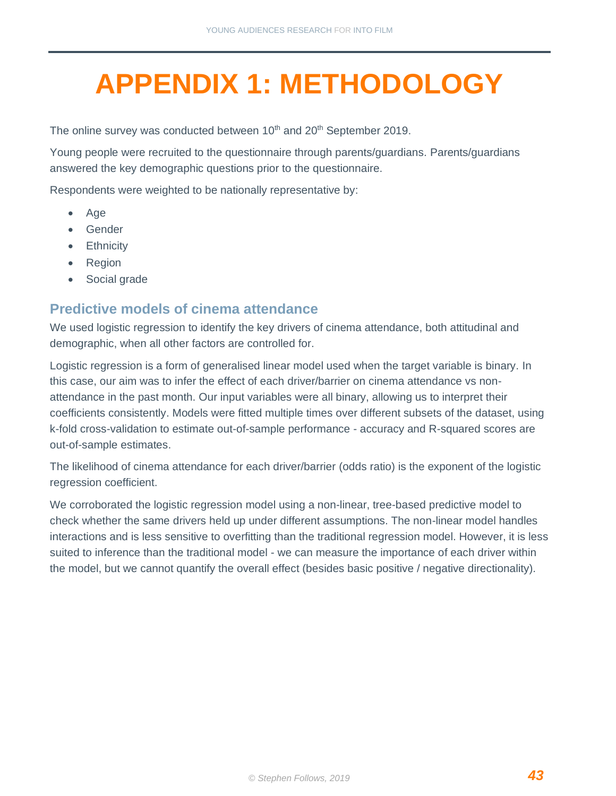# <span id="page-43-0"></span>**APPENDIX 1: METHODOLOGY**

The online survey was conducted between 10<sup>th</sup> and 20<sup>th</sup> September 2019.

Young people were recruited to the questionnaire through parents/guardians. Parents/guardians answered the key demographic questions prior to the questionnaire.

Respondents were weighted to be nationally representative by:

- Age
- Gender
- **Ethnicity**
- Region
- Social grade

#### **Predictive models of cinema attendance**

We used logistic regression to identify the key drivers of cinema attendance, both attitudinal and demographic, when all other factors are controlled for.

Logistic regression is a form of generalised linear model used when the target variable is binary. In this case, our aim was to infer the effect of each driver/barrier on cinema attendance vs nonattendance in the past month. Our input variables were all binary, allowing us to interpret their coefficients consistently. Models were fitted multiple times over different subsets of the dataset, using k-fold cross-validation to estimate out-of-sample performance - accuracy and R-squared scores are out-of-sample estimates.

The likelihood of cinema attendance for each driver/barrier (odds ratio) is the exponent of the logistic regression coefficient.

We corroborated the logistic regression model using a non-linear, tree-based predictive model to check whether the same drivers held up under different assumptions. The non-linear model handles interactions and is less sensitive to overfitting than the traditional regression model. However, it is less suited to inference than the traditional model - we can measure the importance of each driver within the model, but we cannot quantify the overall effect (besides basic positive / negative directionality).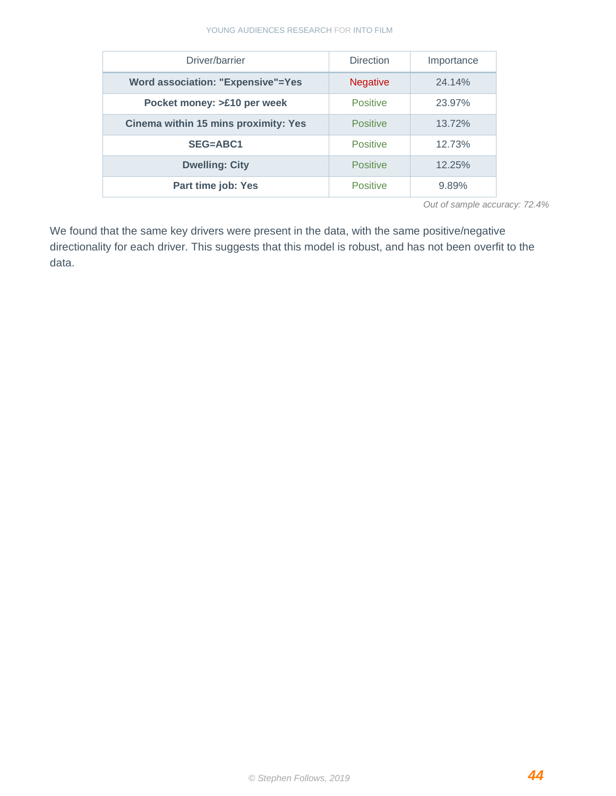#### YOUNG AUDIENCES RESEARCH FOR INTO FILM

| Driver/barrier                              | <b>Direction</b> | Importance |
|---------------------------------------------|------------------|------------|
|                                             |                  |            |
| <b>Word association: "Expensive"=Yes</b>    | <b>Negative</b>  | 24.14%     |
| Pocket money: >£10 per week                 | <b>Positive</b>  | 23.97%     |
|                                             |                  |            |
| <b>Cinema within 15 mins proximity: Yes</b> | <b>Positive</b>  | 13.72%     |
|                                             |                  |            |
| <b>SEG=ABC1</b>                             | <b>Positive</b>  | 12.73%     |
|                                             |                  |            |
| <b>Dwelling: City</b>                       | <b>Positive</b>  | 12.25%     |
|                                             |                  |            |
| Part time job: Yes                          | <b>Positive</b>  | 9.89%      |
|                                             |                  |            |

*Out of sample accuracy: 72.4%*

We found that the same key drivers were present in the data, with the same positive/negative directionality for each driver. This suggests that this model is robust, and has not been overfit to the data.